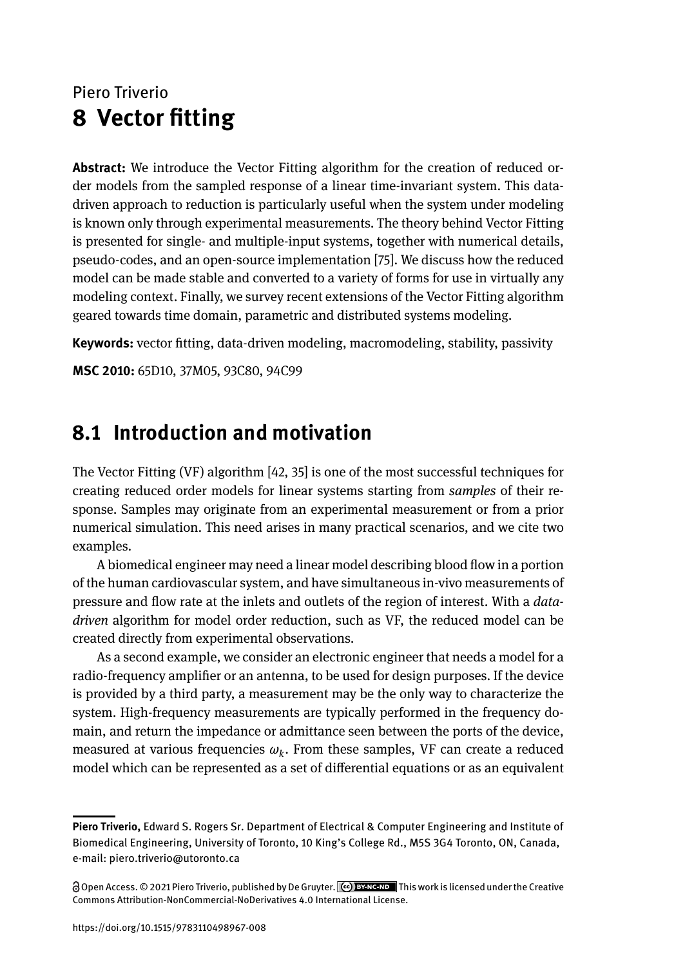# Piero Triverio **8 Vector fitting**

**Abstract:** We introduce the Vector Fitting algorithm for the creation of reduced order models from the sampled response of a linear time-invariant system. This datadriven approach to reduction is particularly useful when the system under modeling is known only through experimental measurements. The theory behind Vector Fitting is presented for single- and multiple-input systems, together with numerical details, pseudo-codes, and an open-source implementation [75]. We discuss how the reduced model can be made stable and converted to a variety of forms for use in virtually any modeling context. Finally, we survey recent extensions of the Vector Fitting algorithm geared towards time domain, parametric and distributed systems modeling.

**Keywords:** vector fitting, data-driven modeling, macromodeling, stability, passivity

**MSC 2010:** 65D10, 37M05, 93C80, 94C99

# **8.1 Introduction and motivation**

The Vector Fitting (VF) algorithm [42, 35] is one of the most successful techniques for creating reduced order models for linear systems starting from *samples* of their response. Samples may originate from an experimental measurement or from a prior numerical simulation. This need arises in many practical scenarios, and we cite two examples.

A biomedical engineer may need a linear model describing blood flow in a portion of the human cardiovascular system, and have simultaneous in-vivo measurements of pressure and flow rate at the inlets and outlets of the region of interest. With a *datadriven* algorithm for model order reduction, such as VF, the reduced model can be created directly from experimental observations.

As a second example, we consider an electronic engineer that needs a model for a radio-frequency amplifier or an antenna, to be used for design purposes. If the device is provided by a third party, a measurement may be the only way to characterize the system. High-frequency measurements are typically performed in the frequency domain, and return the impedance or admittance seen between the ports of the device, measured at various frequencies *ω<sup>k</sup>* . From these samples, VF can create a reduced model which can be represented as a set of differential equations or as an equivalent

**Piero Triverio,** Edward S. Rogers Sr. Department of Electrical & Computer Engineering and Institute of Biomedical Engineering, University of Toronto, 10 King's College Rd., M5S 3G4 Toronto, ON, Canada, e-mail: piero.triverio@utoronto.ca

Open Access. © 2021 Piero Triverio, published by De Gruyter. This workis licensed under the Creative Commons Attribution-NonCommercial-NoDerivatives 4.0 International License.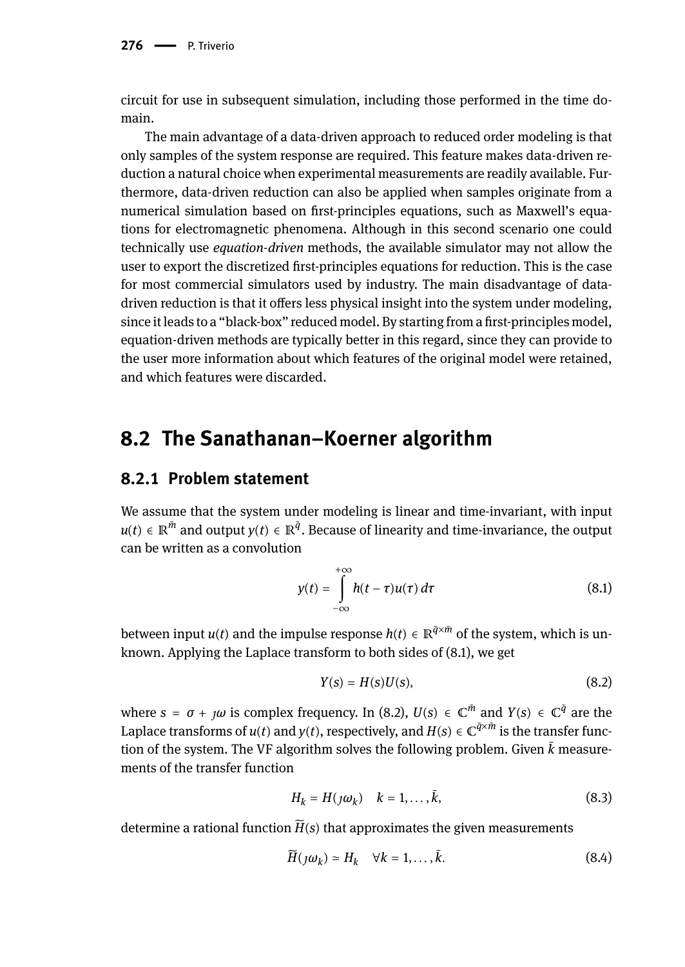circuit for use in subsequent simulation, including those performed in the time domain.

The main advantage of a data-driven approach to reduced order modeling is that only samples of the system response are required. This feature makes data-driven reduction a natural choice when experimental measurements are readily available. Furthermore, data-driven reduction can also be applied when samples originate from a numerical simulation based on first-principles equations, such as Maxwell's equations for electromagnetic phenomena. Although in this second scenario one could technically use *equation-driven* methods, the available simulator may not allow the user to export the discretized first-principles equations for reduction. This is the case for most commercial simulators used by industry. The main disadvantage of datadriven reduction is that it offers less physical insight into the system under modeling, since it leads to a "black-box" reduced model. By starting from a first-principles model, equation-driven methods are typically better in this regard, since they can provide to the user more information about which features of the original model were retained, and which features were discarded.

## **8.2 The Sanathanan–Koerner algorithm**

### **8.2.1 Problem statement**

We assume that the system under modeling is linear and time-invariant, with input  $u(t) \in \mathbb{R}^{\bar{m}}$  and output  $y(t) \in \mathbb{R}^{\bar{q}}$ . Because of linearity and time-invariance, the output can be written as a convolution

$$
y(t) = \int_{-\infty}^{+\infty} h(t - \tau)u(\tau) d\tau
$$
 (8.1)

between input  $u(t)$  and the impulse response  $h(t) \in \mathbb{R}^{\bar{q} \times \bar{m}}$  of the system, which is unknown. Applying the Laplace transform to both sides of (8.1), we get

$$
Y(s) = H(s)U(s),\tag{8.2}
$$

where  $s = \sigma + \jmath\omega$  is complex frequency. In (8.2),  $U(s) \in \mathbb{C}^{\bar{m}}$  and  $Y(s) \in \mathbb{C}^{\bar{q}}$  are the Laplace transforms of  $u(t)$  and  $y(t)$ , respectively, and  $H(s) \in \mathbb{C}^{\tilde{q} \times \tilde{m}}$  is the transfer function of the system. The VF algorithm solves the following problem. Given  $\bar{k}$  measurements of the transfer function

$$
H_k = H(j\omega_k) \quad k = 1, \dots, \bar{k}, \tag{8.3}
$$

determine a rational function  $\widetilde{H}(s)$  that approximates the given measurements

$$
\widetilde{H}(j\omega_k) \simeq H_k \quad \forall k = 1, \dots, \bar{k}.\tag{8.4}
$$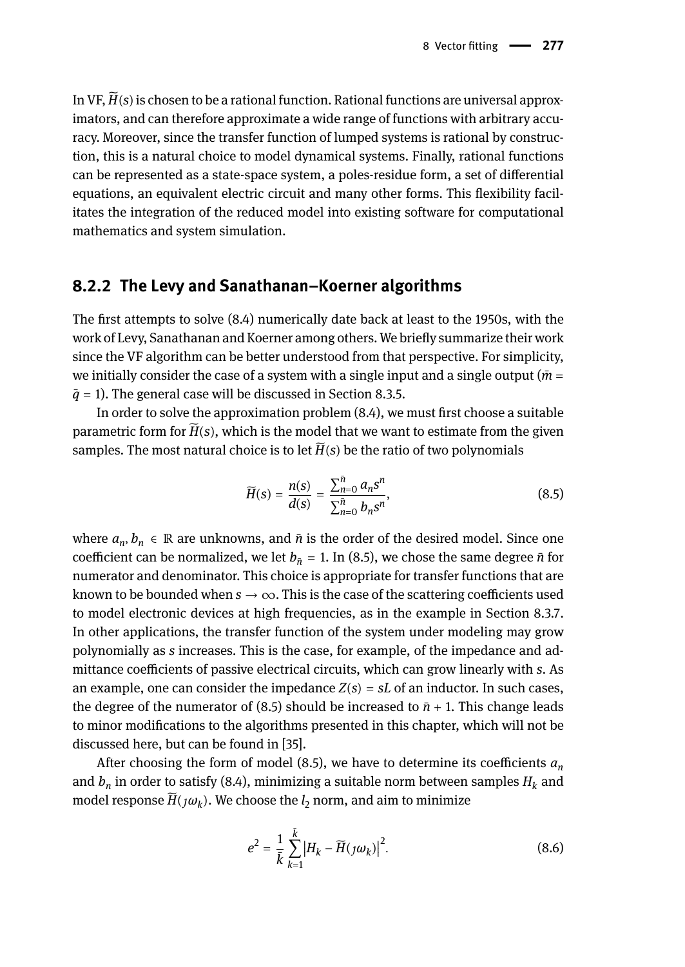In VF,  $\widetilde{H}(s)$  is chosen to be a rational function. Rational functions are universal approximators, and can therefore approximate a wide range of functions with arbitrary accuracy. Moreover, since the transfer function of lumped systems is rational by construction, this is a natural choice to model dynamical systems. Finally, rational functions can be represented as a state-space system, a poles-residue form, a set of differential equations, an equivalent electric circuit and many other forms. This flexibility facilitates the integration of the reduced model into existing software for computational mathematics and system simulation.

## **8.2.2 The Levy and Sanathanan–Koerner algorithms**

The first attempts to solve (8.4) numerically date back at least to the 1950s, with the work of Levy, Sanathanan and Koerner among others. We briefly summarize their work since the VF algorithm can be better understood from that perspective. For simplicity, we initially consider the case of a system with a single input and a single output ( $\bar{m}$  =  $\bar{q}$  = 1). The general case will be discussed in Section 8.3.5.

In order to solve the approximation problem (8.4), we must first choose a suitable parametric form for  $\widetilde{H}(s)$ , which is the model that we want to estimate from the given samples. The most natural choice is to let  $\widetilde{H}(s)$  be the ratio of two polynomials

$$
\widetilde{H}(s) = \frac{n(s)}{d(s)} = \frac{\sum_{n=0}^{n} a_n s^n}{\sum_{n=0}^{n} b_n s^n},
$$
\n(8.5)

where *a<sup>n</sup>* , *b<sup>n</sup>* ∈ ℝ are unknowns, and *n*̄is the order of the desired model. Since one coefficient can be normalized, we let  $b_{\bar{n}} = 1$ . In (8.5), we chose the same degree  $\bar{n}$  for numerator and denominator. This choice is appropriate for transfer functions that are known to be bounded when  $s \to \infty$ . This is the case of the scattering coefficients used to model electronic devices at high frequencies, as in the example in Section 8.3.7. In other applications, the transfer function of the system under modeling may grow polynomially as *s* increases. This is the case, for example, of the impedance and admittance coefficients of passive electrical circuits, which can grow linearly with *s*. As an example, one can consider the impedance  $Z(s) = sL$  of an inductor. In such cases, the degree of the numerator of  $(8.5)$  should be increased to  $\bar{n}$  + 1. This change leads to minor modifications to the algorithms presented in this chapter, which will not be discussed here, but can be found in [35].

After choosing the form of model (8.5), we have to determine its coefficients *a<sup>n</sup>* and *b<sup>n</sup>* in order to satisfy (8.4), minimizing a suitable norm between samples *H<sup>k</sup>* and model response  $H(\jmath\omega_k)$ . We choose the  $l_2$  norm, and aim to minimize

$$
e^{2} = \frac{1}{\bar{k}} \sum_{k=1}^{\bar{k}} \left| H_{k} - \widetilde{H}(j\omega_{k}) \right|^{2}.
$$
 (8.6)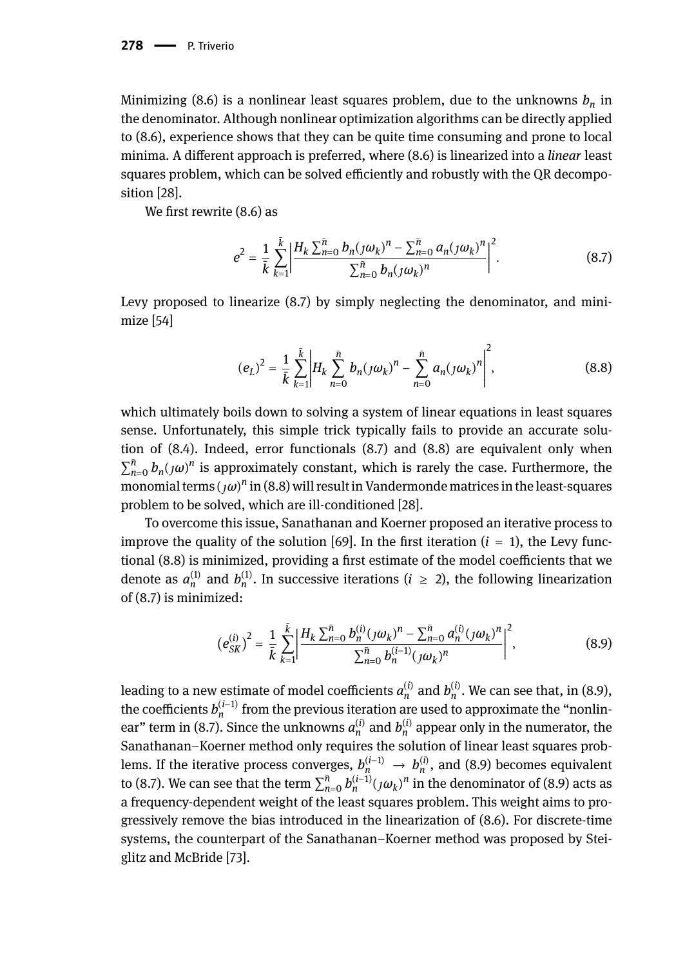Minimizing (8.6) is a nonlinear least squares problem, due to the unknowns *b<sup>n</sup>* in the denominator. Although nonlinear optimization algorithms can be directly applied to (8.6), experience shows that they can be quite time consuming and prone to local minima. A different approach is preferred, where (8.6) is linearized into a *linear* least squares problem, which can be solved efficiently and robustly with the QR decomposition [28].

We first rewrite (8.6) as

$$
e^{2} = \frac{1}{\bar{k}} \sum_{k=1}^{\bar{k}} \left| \frac{H_{k} \sum_{n=0}^{\bar{n}} b_{n} (j \omega_{k})^{n} - \sum_{n=0}^{\bar{n}} a_{n} (j \omega_{k})^{n}}{\sum_{n=0}^{\bar{n}} b_{n} (j \omega_{k})^{n}} \right|^{2}.
$$
 (8.7)

Levy proposed to linearize (8.7) by simply neglecting the denominator, and minimize [54]

$$
(e_L)^2 = \frac{1}{\bar{k}} \sum_{k=1}^{\bar{k}} \left| H_k \sum_{n=0}^{\bar{n}} b_n (j \omega_k)^n - \sum_{n=0}^{\bar{n}} a_n (j \omega_k)^n \right|^2, \tag{8.8}
$$

which ultimately boils down to solving a system of linear equations in least squares sense. Unfortunately, this simple trick typically fails to provide an accurate solution of (8.4). Indeed, error functionals (8.7) and (8.8) are equivalent only when  $\sum_{n=0}^{\bar{n}} b_n(\jmath\omega)^n$  is approximately constant, which is rarely the case. Furthermore, the monomial terms  $(\jmath\omega)^n$  in (8.8) will result in Vandermonde matrices in the least-squares problem to be solved, which are ill-conditioned [28].

To overcome this issue, Sanathanan and Koerner proposed an iterative process to improve the quality of the solution [69]. In the first iteration  $(i = 1)$ , the Levy functional (8.8) is minimized, providing a first estimate of the model coefficients that we denote as  $a_n^{(1)}$  and  $b_n^{(1)}$ . In successive iterations ( $i \ge 2$ ), the following linearization of (8.7) is minimized:

$$
\left(e_{SK}^{(i)}\right)^2 = \frac{1}{\bar{k}} \sum_{k=1}^{\bar{k}} \left| \frac{H_k \sum_{n=0}^{\bar{n}} b_n^{(i)} (j \omega_k)^n - \sum_{n=0}^{\bar{n}} a_n^{(i)} (j \omega_k)^n}{\sum_{n=0}^{\bar{n}} b_n^{(i-1)} (j \omega_k)^n} \right|^2, \tag{8.9}
$$

leading to a new estimate of model coefficients  $a_n^{(i)}$  and  $b_n^{(i)}$ . We can see that, in (8.9), the coefficients  $b_n^{(i-1)}$  from the previous iteration are used to approximate the "nonlinear" term in (8.7). Since the unknowns  $a_n^{(i)}$  and  $b_n^{(i)}$  appear only in the numerator, the Sanathanan–Koerner method only requires the solution of linear least squares problems. If the iterative process converges,  $b_n^{(i-1)} \to b_n^{(i)}$ , and (8.9) becomes equivalent to (8.7). We can see that the term  $\sum_{n=0}^{n} b_n^{(i-1)} (\jmath\omega_k)^n$  in the denominator of (8.9) acts as a frequency-dependent weight of the least squares problem. This weight aims to progressively remove the bias introduced in the linearization of (8.6). For discrete-time systems, the counterpart of the Sanathanan–Koerner method was proposed by Steiglitz and McBride [73].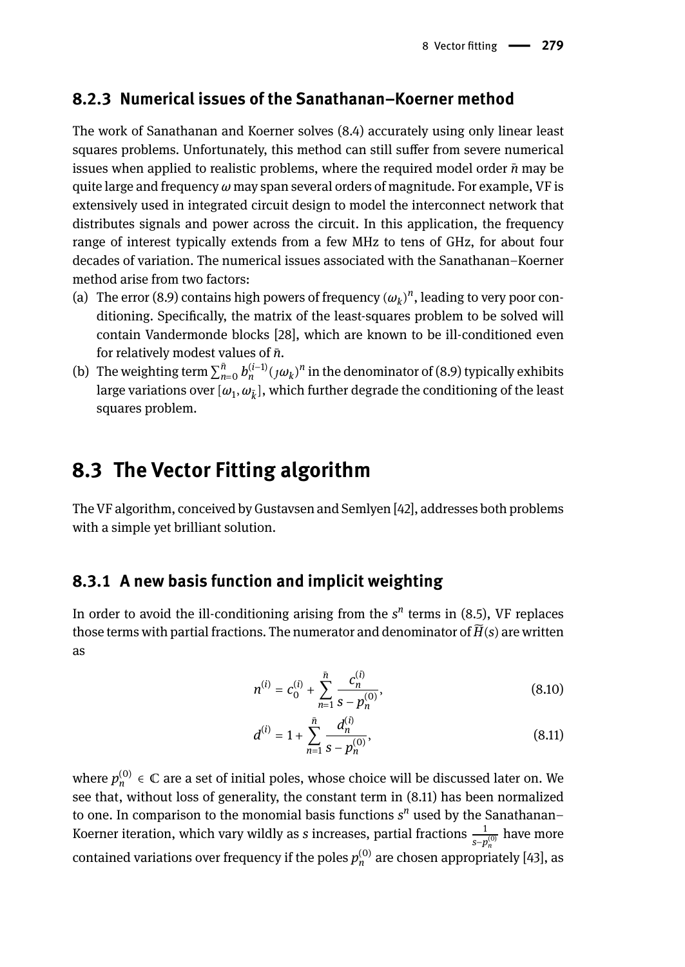### **8.2.3 Numerical issues of the Sanathanan–Koerner method**

The work of Sanathanan and Koerner solves (8.4) accurately using only linear least squares problems. Unfortunately, this method can still suffer from severe numerical issues when applied to realistic problems, where the required model order *n*̄may be quite large and frequency *ω* may span several orders of magnitude. For example, VF is extensively used in integrated circuit design to model the interconnect network that distributes signals and power across the circuit. In this application, the frequency range of interest typically extends from a few MHz to tens of GHz, for about four decades of variation. The numerical issues associated with the Sanathanan–Koerner method arise from two factors:

- (a) The error (8.9) contains high powers of frequency  $(\omega_k)^n$ , leading to very poor conditioning. Specifically, the matrix of the least-squares problem to be solved will contain Vandermonde blocks [28], which are known to be ill-conditioned even for relatively modest values of *n*̄.
- (b) The weighting term  $\sum_{n=0}^{n} b_n^{(i-1)} (j \omega_k)^n$  in the denominator of (8.9) typically exhibits large variations over  $[\omega_{1},\omega_{\bar{k}}]$ , which further degrade the conditioning of the least squares problem.

## **8.3 The Vector Fitting algorithm**

The VF algorithm, conceived by Gustavsen and Semlyen [42], addresses both problems with a simple yet brilliant solution.

## **8.3.1 A new basis function and implicit weighting**

In order to avoid the ill-conditioning arising from the  $s^n$  terms in (8.5), VF replaces those terms with partial fractions. The numerator and denominator of  $\widetilde{H}(s)$  are written as

$$
n^{(i)} = c_0^{(i)} + \sum_{n=1}^{\tilde{n}} \frac{c_n^{(i)}}{s - p_n^{(0)}},
$$
\n(8.10)

$$
d^{(i)} = 1 + \sum_{n=1}^{\bar{n}} \frac{d_n^{(i)}}{s - p_n^{(0)}},
$$
\n(8.11)

where  $p_n^{(0)} \in \mathbb{C}$  are a set of initial poles, whose choice will be discussed later on. We see that, without loss of generality, the constant term in (8.11) has been normalized to one. In comparison to the monomial basis functions *s n* used by the Sanathanan– Koerner iteration, which vary wildly as *s* increases, partial fractions  $\frac{1}{s-p_n^{(0)}}$  have more contained variations over frequency if the poles  $p_n^{(0)}$  are chosen appropriately [43], as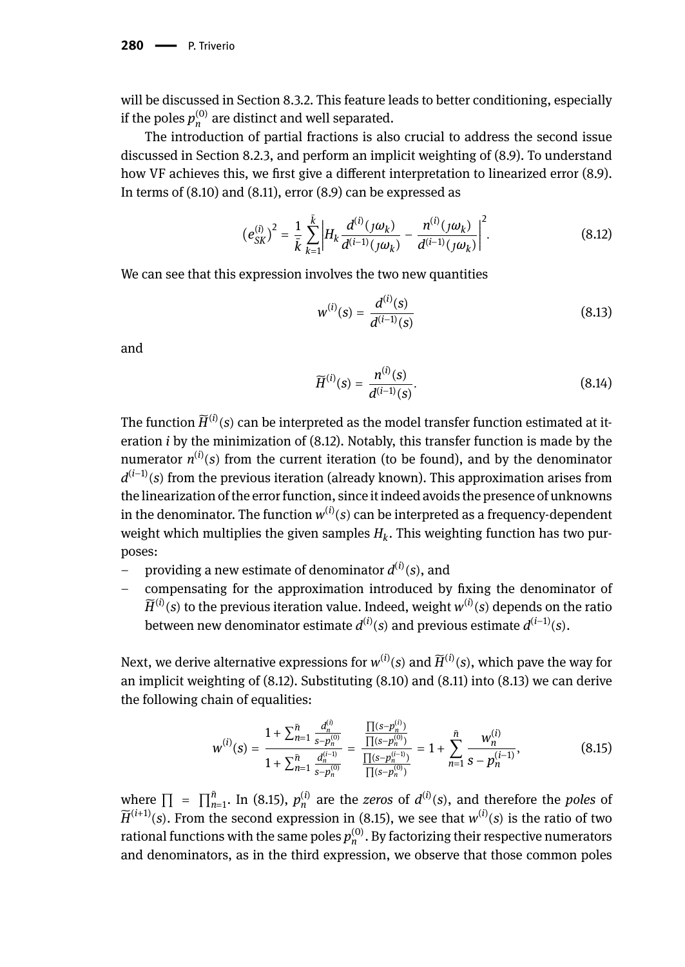will be discussed in Section 8.3.2. This feature leads to better conditioning, especially if the poles  $p_n^{(0)}$  are distinct and well separated.

The introduction of partial fractions is also crucial to address the second issue discussed in Section 8.2.3, and perform an implicit weighting of (8.9). To understand how VF achieves this, we first give a different interpretation to linearized error (8.9). In terms of (8.10) and (8.11), error (8.9) can be expressed as

$$
\left(e_{SK}^{(i)}\right)^2 = \frac{1}{\bar{k}} \sum_{k=1}^{\bar{k}} \left| H_k \frac{d^{(i)}(j\omega_k)}{d^{(i-1)}(j\omega_k)} - \frac{n^{(i)}(j\omega_k)}{d^{(i-1)}(j\omega_k)} \right|^2.
$$
 (8.12)

We can see that this expression involves the two new quantities

$$
w^{(i)}(s) = \frac{d^{(i)}(s)}{d^{(i-1)}(s)}
$$
(8.13)

and

$$
\widetilde{H}^{(i)}(s) = \frac{n^{(i)}(s)}{d^{(i-1)}(s)}.
$$
\n(8.14)

The function  $\widetilde{H}^{(i)}(s)$  can be interpreted as the model transfer function estimated at iteration *i* by the minimization of (8.12). Notably, this transfer function is made by the numerator  $n^{(i)}(s)$  from the current iteration (to be found), and by the denominator *d*<sup>(*i*−1)</sup>(*s*) from the previous iteration (already known). This approximation arises from the linearization of the error function, since it indeed avoids the presence of unknowns in the denominator. The function  $w^{(i)}(s)$  can be interpreted as a frequency-dependent weight which multiplies the given samples  $H_k$ . This weighting function has two purposes:

- providing a new estimate of denominator  $d^{(i)}(s)$ , and
- compensating for the approximation introduced by fixing the denominator of  $\widetilde{H}^{(i)}(s)$  to the previous iteration value. Indeed, weight  $w^{(i)}(s)$  depends on the ratio between new denominator estimate  $d^{(i)}(s)$  and previous estimate  $d^{(i-1)}(s)$ .

Next, we derive alternative expressions for  $w^{(i)}(s)$  and  $\widetilde{H}^{(i)}(s)$ , which pave the way for an implicit weighting of (8.12). Substituting (8.10) and (8.11) into (8.13) we can derive the following chain of equalities:

$$
w^{(i)}(s) = \frac{1 + \sum_{n=1}^{\bar{n}} \frac{d_n^{(i)}}{s - p_n^{(0)}}}{1 + \sum_{n=1}^{\bar{n}} \frac{d_n^{(i-1)}}{s - p_n^{(0)}}} = \frac{\frac{\prod(s - p_n^{(i)})}{\prod(s - p_n^{(i-1)})}}{\frac{\prod(s - p_n^{(i-1)})}{\prod(s - p_n^{(i)})}} = 1 + \sum_{n=1}^{\bar{n}} \frac{w_n^{(i)}}{s - p_n^{(i-1)}},
$$
(8.15)

where  $\prod$  =  $\prod_{n=1}^{n}$ . In (8.15),  $p_n^{(i)}$  are the *zeros* of  $d^{(i)}(s)$ , and therefore the *poles* of  $\widetilde{H}^{(i+1)}(s)$ . From the second expression in (8.15), we see that  $w^{(i)}(s)$  is the ratio of two rational functions with the same poles  $p_n^{(0)}$ . By factorizing their respective numerators and denominators, as in the third expression, we observe that those common poles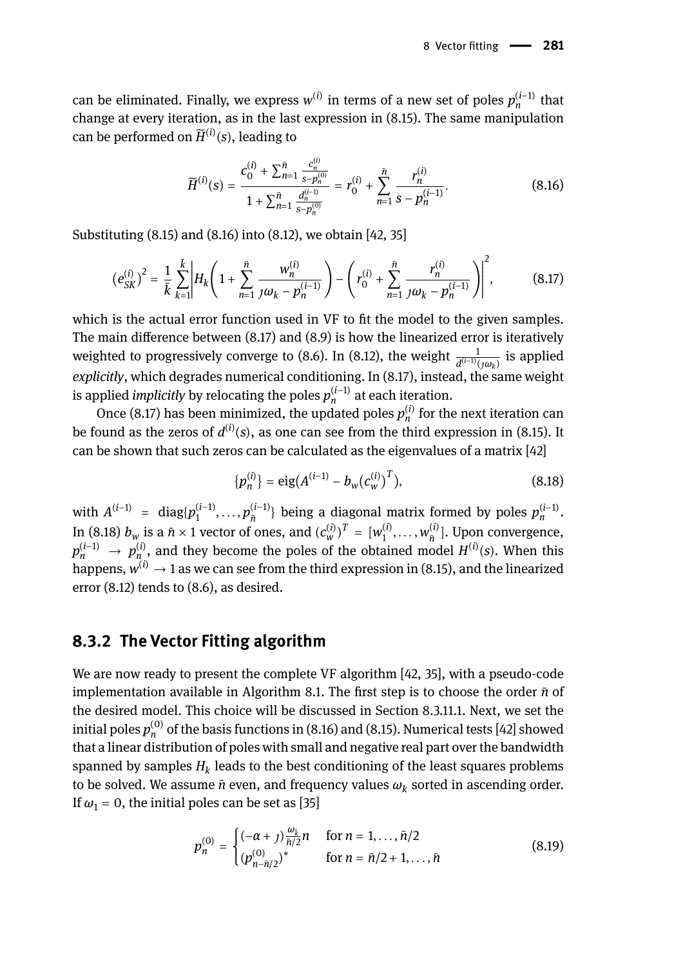can be eliminated. Finally, we express  $w^{(i)}$  in terms of a new set of poles  $p_n^{(i-1)}$  that change at every iteration, as in the last expression in (8.15). The same manipulation can be performed on  $\widetilde{H}^{(i)}(s)$ , leading to

$$
\widetilde{H}^{(i)}(s) = \frac{c_0^{(i)} + \sum_{n=1}^{\bar{n}} \frac{c_n^{(i)}}{s - p_n^{(0)}}}{1 + \sum_{n=1}^{\bar{n}} \frac{d_n^{(i-1)}}{s - p_n^{(0)}}} = r_0^{(i)} + \sum_{n=1}^{\bar{n}} \frac{r_n^{(i)}}{s - p_n^{(i-1)}}.
$$
(8.16)

Substituting (8.15) and (8.16) into (8.12), we obtain [42, 35]

$$
\left(e_{SK}^{(i)}\right)^2 = \frac{1}{\bar{k}} \sum_{k=1}^{\bar{k}} \left| H_k \left( 1 + \sum_{n=1}^{\bar{n}} \frac{w_n^{(i)}}{j \omega_k - p_n^{(i-1)}} \right) - \left( r_0^{(i)} + \sum_{n=1}^{\bar{n}} \frac{r_n^{(i)}}{j \omega_k - p_n^{(i-1)}} \right) \right|^2, \tag{8.17}
$$

which is the actual error function used in VF to fit the model to the given samples. The main difference between (8.17) and (8.9) is how the linearized error is iteratively weighted to progressively converge to (8.6). In (8.12), the weight  $\frac{1}{d^{(i-1)}(j\omega_k)}$  is applied explicitly, which degrades numerical conditioning. In (8.17), instead, the same weight is applied *implicitly* by relocating the poles  $p_n^{(i-1)}$  at each iteration.

Once (8.17) has been minimized, the updated poles  $p_n^{(i)}$  for the next iteration can be found as the zeros of  $d^{(i)}(s)$ , as one can see from the third expression in (8.15). It can be shown that such zeros can be calculated as the eigenvalues of a matrix [42]

$$
\{p_n^{(i)}\} = \text{eig}(A^{(i-1)} - b_w(c_w^{(i)})^T),\tag{8.18}
$$

with  $A^{(i-1)}$  = diag $\{p_1^{(i-1)}, \ldots, p_{\overline{n}}^{(i-1)}\}$  being a diagonal matrix formed by poles  $p_n^{(i-1)}$ . In (8.18)  $b_w$  is a  $\bar{n} \times 1$  vector of ones, and  $(c_w^{(i)})^T = [w_1^{(i)}, \dots, w_{\bar{n}}^{(i)}]$ . Upon convergence,  $p_n^{(i-1)}$  →  $p_{n_n}^{(i)}$ , and they become the poles of the obtained model  $H^{(i)}(s)$ . When this happens,  $w^{(i)} \rightarrow 1$  as we can see from the third expression in (8.15), and the linearized error (8.12) tends to (8.6), as desired.

#### **8.3.2 The Vector Fitting algorithm**

We are now ready to present the complete VF algorithm [42, 35], with a pseudo-code implementation available in Algorithm 8.1. The first step is to choose the order *n*̄of the desired model. This choice will be discussed in Section 8.3.11.1. Next, we set the initial poles  $p_n^{(0)}$  of the basis functions in (8.16) and (8.15). Numerical tests [42] showed that a linear distribution of poles with small and negative real part over the bandwidth spanned by samples  $H_k$  leads to the best conditioning of the least squares problems to be solved. We assume  $\bar{n}$  even, and frequency values  $\omega_k$  sorted in ascending order. If  $\omega_1$  = 0, the initial poles can be set as [35]

$$
p_n^{(0)} = \begin{cases} (-\alpha + j) \frac{\omega_k}{\bar{n}/2} n & \text{for } n = 1, ..., \bar{n}/2 \\ (p_{n-\bar{n}/2}^{(0)})^* & \text{for } n = \bar{n}/2 + 1, ..., \bar{n} \end{cases}
$$
(8.19)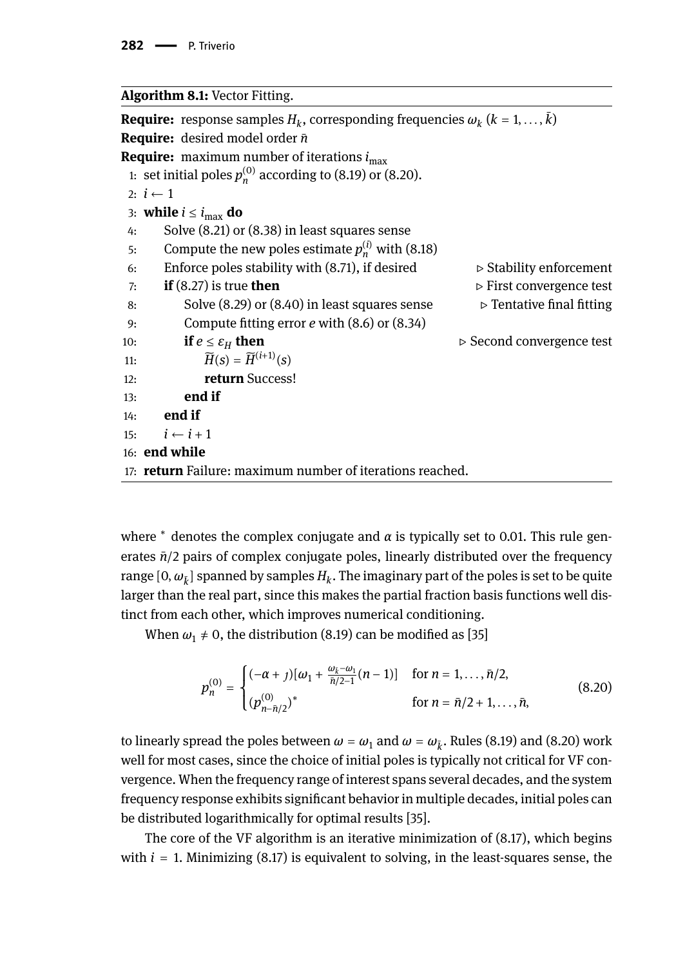#### **Algorithm 8.1:** Vector Fitting.

**Require:** response samples  $H_k$ , corresponding frequencies  $\omega_k$   $(k = 1, \ldots, k)$ **Require:** desired model order *n*̄ **Require:** maximum number of iterations *i*max 1: set initial poles  $p_n^{(0)}$  according to (8.19) or (8.20). 2:  $i \leftarrow 1$ 3: **while**  $i \leq i_{\text{max}}$  **do** 4: Solve (8.21) or (8.38) in least squares sense 5: Compute the new poles estimate  $p_n^{(i)}$  with (8.18) 6: Enforce poles stability with  $(8.71)$ , if desired  $\triangleright$  Stability enforcement 7: **if** (8.27) is true **then** ⊳ First convergence test<br>8: Solve (8.29) or (8.40) in least squares sense ⊳ Tentative final fitting 8: Solve (8.29) or (8.40) in least squares sense 9: Compute fitting error *e* with (8.6) or (8.34) 10: **if**  $e \le \varepsilon_H$  **then**  $\triangleright$  Second convergence test 11:  $\widetilde{H}(s) = \widetilde{H}^{(i+1)}(s)$ 12: **return** Success! 13: **end if** 14: **end if** 15:  $i \leftarrow i+1$ 16: **end while** 17: **return** Failure: maximum number of iterations reached.

where  $^*$  denotes the complex conjugate and *α* is typically set to 0.01. This rule generates  $\bar{n}/2$  pairs of complex conjugate poles, linearly distributed over the frequency range  $[0,\omega_{\bar{k}}]$  spanned by samples  $H_k.$  The imaginary part of the poles is set to be quite larger than the real part, since this makes the partial fraction basis functions well distinct from each other, which improves numerical conditioning.

When  $\omega_1 \neq 0$ , the distribution (8.19) can be modified as [35]

$$
p_n^{(0)} = \begin{cases} (-\alpha + j)[\omega_1 + \frac{\omega_{\bar{k}} - \omega_1}{\bar{n}/2 - 1}(n - 1)] & \text{for } n = 1, ..., \bar{n}/2, \\ (p_{n - \bar{n}/2}^{(0)})^* & \text{for } n = \bar{n}/2 + 1, ..., \bar{n}, \end{cases}
$$
(8.20)

to linearly spread the poles between  $\omega = \omega_1$  and  $\omega = \omega_{\tilde{k}}$ . Rules (8.19) and (8.20) work well for most cases, since the choice of initial poles is typically not critical for VF convergence. When the frequency range of interest spans several decades, and the system frequency response exhibits significant behavior in multiple decades, initial poles can be distributed logarithmically for optimal results [35].

The core of the VF algorithm is an iterative minimization of (8.17), which begins with  $i = 1$ . Minimizing  $(8.17)$  is equivalent to solving, in the least-squares sense, the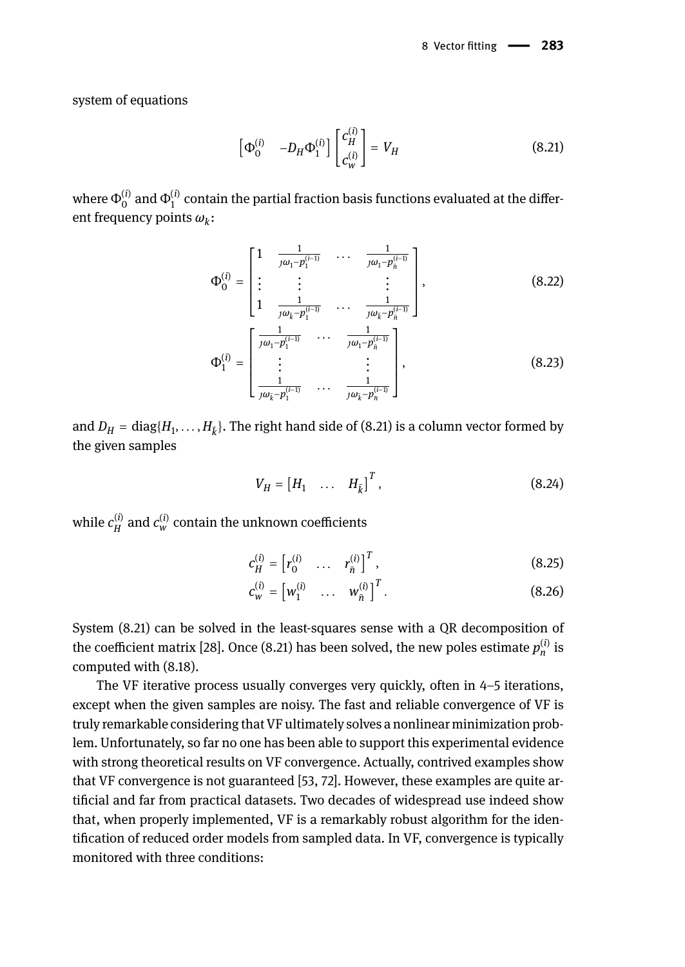system of equations

$$
\begin{bmatrix} \Phi_0^{(i)} & -D_H \Phi_1^{(i)} \end{bmatrix} \begin{bmatrix} c_H^{(i)} \\ c_W^{(i)} \end{bmatrix} = V_H \tag{8.21}
$$

where  $\Phi_0^{(i)}$  and  $\Phi_1^{(i)}$  contain the partial fraction basis functions evaluated at the different frequency points *ω<sup>k</sup>* :

$$
\Phi_0^{(i)} = \begin{bmatrix}\n1 & \frac{1}{j\omega_1 - p_1^{(i-1)}} & \cdots & \frac{1}{j\omega_1 - p_n^{(i-1)}} \\
\vdots & \vdots & & \vdots \\
1 & \frac{1}{j\omega_k - p_1^{(i-1)}} & \cdots & \frac{1}{j\omega_k - p_n^{(i-1)}}\n\end{bmatrix},
$$
\n(8.22)\n
$$
\Phi_1^{(i)} = \begin{bmatrix}\n\frac{1}{j\omega_1 - p_1^{(i-1)}} & \cdots & \frac{1}{j\omega_1 - p_n^{(i-1)}} \\
\vdots & & \vdots \\
\frac{1}{j\omega_k - p_1^{(i-1)}} & \cdots & \frac{1}{j\omega_k - p_n^{(i-1)}}\n\end{bmatrix},
$$
\n(8.23)

and  $D_H = \text{diag}\{H_1,\ldots,H_{\bar{k}}\}.$  The right hand side of (8.21) is a column vector formed by the given samples

$$
V_H = \begin{bmatrix} H_1 & \dots & H_{\bar{k}} \end{bmatrix}^T, \tag{8.24}
$$

while  $c_H^{(i)}$  and  $c_w^{(i)}$  contain the unknown coefficients

$$
c_H^{(i)} = \begin{bmatrix} r_0^{(i)} & \dots & r_{\bar{n}}^{(i)} \end{bmatrix}^T, \tag{8.25}
$$

$$
c_w^{(i)} = \begin{bmatrix} w_1^{(i)} & \dots & w_{\bar{n}}^{(i)} \end{bmatrix}^T.
$$
 (8.26)

System (8.21) can be solved in the least-squares sense with a QR decomposition of the coefficient matrix [28]. Once (8.21) has been solved, the new poles estimate  $p_n^{(i)}$  is computed with (8.18).

The VF iterative process usually converges very quickly, often in 4–5 iterations, except when the given samples are noisy. The fast and reliable convergence of VF is truly remarkable considering that VF ultimately solves a nonlinear minimization problem. Unfortunately, so far no one has been able to support this experimental evidence with strong theoretical results on VF convergence. Actually, contrived examples show that VF convergence is not guaranteed [53, 72]. However, these examples are quite artificial and far from practical datasets. Two decades of widespread use indeed show that, when properly implemented, VF is a remarkably robust algorithm for the identification of reduced order models from sampled data. In VF, convergence is typically monitored with three conditions: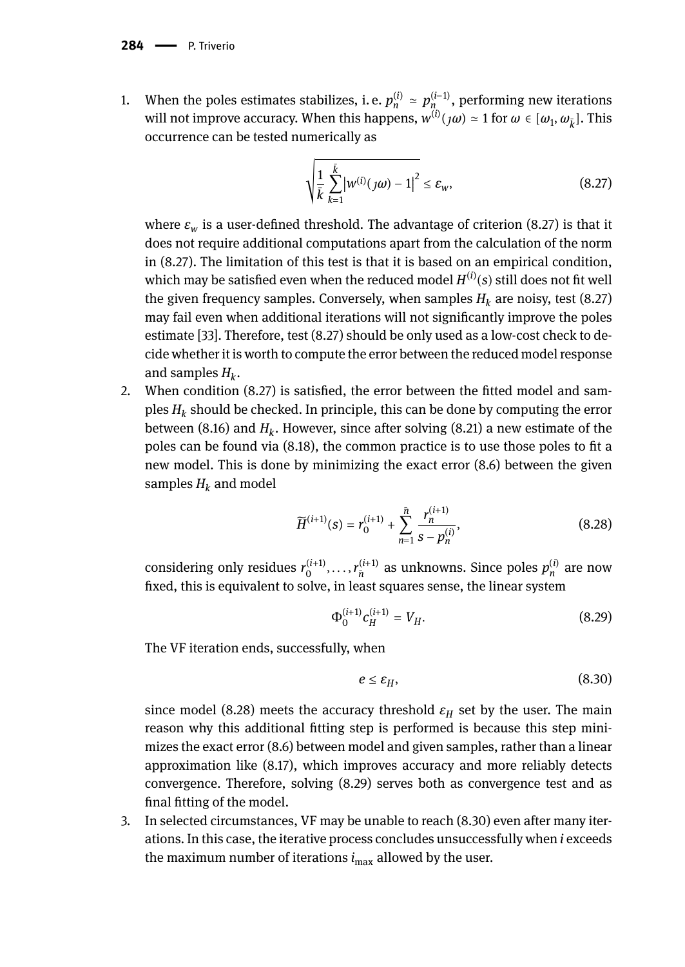1. When the poles estimates stabilizes, i. e.  $p_n^{(i)} \approx p_{n_{i}}^{(i-1)}$ , performing new iterations will not improve accuracy. When this happens,  $w^{(i)}(j\omega) \approx 1$  for  $\omega \in [\omega_1, \omega_{\bar{k}}]$ . This occurrence can be tested numerically as

$$
\sqrt{\frac{1}{k} \sum_{k=1}^{\bar{k}} |w^{(i)}(j\omega) - 1|^2} \le \varepsilon_w,
$$
\n(8.27)

where  $\varepsilon_w$  is a user-defined threshold. The advantage of criterion (8.27) is that it does not require additional computations apart from the calculation of the norm in (8.27). The limitation of this test is that it is based on an empirical condition, which may be satisfied even when the reduced model  $H^{(i)}(s)$  still does not fit well the given frequency samples. Conversely, when samples  $H_k$  are noisy, test (8.27) may fail even when additional iterations will not significantly improve the poles estimate [33]. Therefore, test (8.27) should be only used as a low-cost check to decide whether it is worth to compute the error between the reduced model response and samples *H<sup>k</sup>* .

2. When condition (8.27) is satisfied, the error between the fitted model and samples *H<sup>k</sup>* should be checked. In principle, this can be done by computing the error between (8.16) and  $H_k$ . However, since after solving (8.21) a new estimate of the poles can be found via (8.18), the common practice is to use those poles to fit a new model. This is done by minimizing the exact error (8.6) between the given samples  $H_k$  and model

$$
\widetilde{H}^{(i+1)}(s) = r_0^{(i+1)} + \sum_{n=1}^{\bar{n}} \frac{r_n^{(i+1)}}{s - p_n^{(i)}},
$$
\n(8.28)

considering only residues  $r_0^{(i+1)}, \ldots, r_{\bar{n}}^{(i+1)}$  as unknowns. Since poles  $p_n^{(i)}$  are now fixed, this is equivalent to solve, in least squares sense, the linear system

$$
\Phi_0^{(i+1)} c_H^{(i+1)} = V_H. \tag{8.29}
$$

The VF iteration ends, successfully, when

$$
e \le \varepsilon_H,\tag{8.30}
$$

since model (8.28) meets the accuracy threshold  $\varepsilon_H$  set by the user. The main reason why this additional fitting step is performed is because this step minimizes the exact error (8.6) between model and given samples, rather than a linear approximation like (8.17), which improves accuracy and more reliably detects convergence. Therefore, solving (8.29) serves both as convergence test and as final fitting of the model.

3. In selected circumstances, VF may be unable to reach (8.30) even after many iterations. In this case, the iterative process concludes unsuccessfully when *i* exceeds the maximum number of iterations  $i_{\text{max}}$  allowed by the user.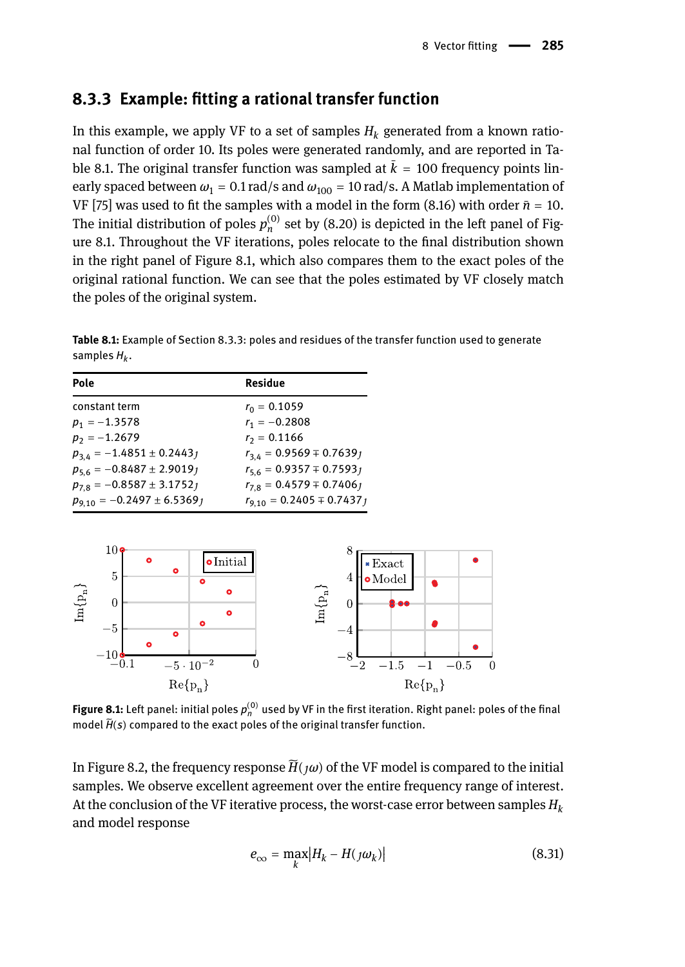## **8.3.3 Example: fitting a rational transfer function**

In this example, we apply VF to a set of samples  $H_k$  generated from a known rational function of order 10. Its poles were generated randomly, and are reported in Table 8.1. The original transfer function was sampled at  $\bar{k} = 100$  frequency points linearly spaced between  $\omega_1 = 0.1$  rad/s and  $\omega_{100} = 10$  rad/s. A Matlab implementation of VF [75] was used to fit the samples with a model in the form (8.16) with order  $\bar{n} = 10$ . The initial distribution of poles  $p_n^{(0)}$  set by (8.20) is depicted in the left panel of Figure 8.1. Throughout the VF iterations, poles relocate to the final distribution shown in the right panel of Figure 8.1, which also compares them to the exact poles of the original rational function. We can see that the poles estimated by VF closely match the poles of the original system.

**Table 8.1:** Example of Section 8.3.3: poles and residues of the transfer function used to generate samples *H<sup>k</sup>* .

| Pole                             | Residue                         |
|----------------------------------|---------------------------------|
| constant term                    | $r_0 = 0.1059$                  |
| $p_1 = -1.3578$                  | $r_1 = -0.2808$                 |
| $p_2 = -1.2679$                  | $r_2 = 0.1166$                  |
| $p_{3,4} = -1.4851 \pm 0.2443$   | $r_{34} = 0.9569 \pm 0.76391$   |
| $p_{56} = -0.8487 \pm 2.90191$   | $r_{5.6} = 0.9357 \pm 0.7593j$  |
| $p_{7.8} = -0.8587 \pm 3.1752$   | $r_{7.8} = 0.4579 \pm 0.74061$  |
| $p_{9,10} = -0.2497 \pm 6.5369j$ | $r_{9,10} = 0.2405 \pm 0.7437j$ |



**Figure 8.1:** Left panel: initial poles  $p_n^{(0)}$  used by VF in the first iteration. Right panel: poles of the final model  $\widetilde{H}(s)$  compared to the exact poles of the original transfer function.

In Figure 8.2, the frequency response  $\widetilde{H}(\jmath\omega)$  of the VF model is compared to the initial samples. We observe excellent agreement over the entire frequency range of interest. At the conclusion of the VF iterative process, the worst-case error between samples *H<sup>k</sup>* and model response

$$
e_{\infty} = \max_{k} |H_k - H(j\omega_k)|
$$
\n(8.31)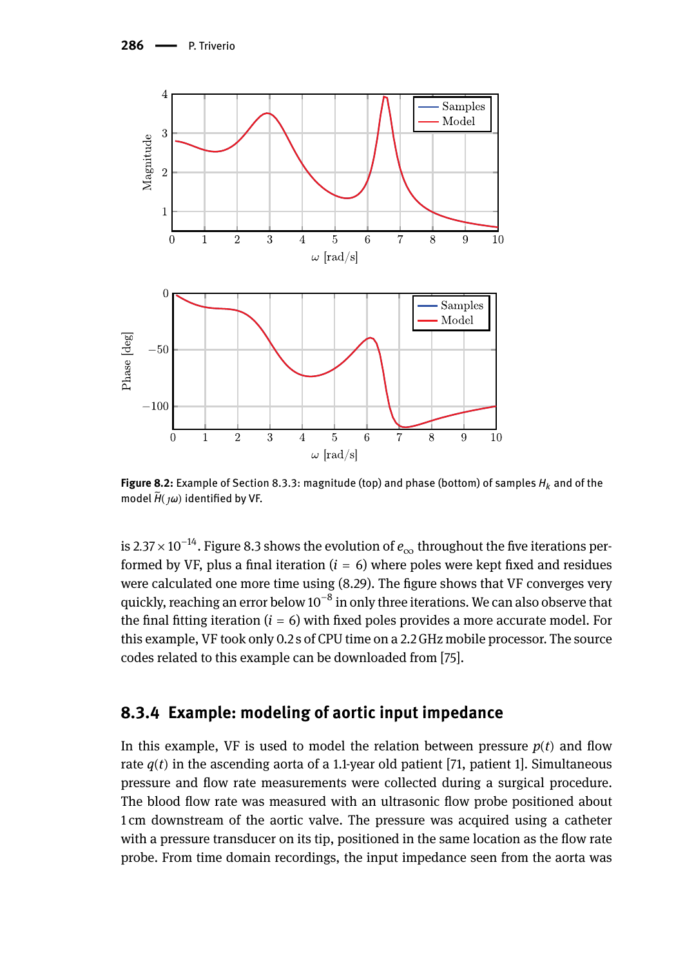

**Figure 8.2:** Example of Section 8.3.3: magnitude (top) and phase (bottom) of samples *H<sup>k</sup>* and of the model *H*̃(*ω*) identified by VF.

is 2.<sup>37</sup> <sup>×</sup> <sup>10</sup>−14. Figure 8.3 shows the evolution of *<sup>e</sup>*<sup>∞</sup> throughout the five iterations performed by VF, plus a final iteration  $(i = 6)$  where poles were kept fixed and residues were calculated one more time using (8.29). The figure shows that VF converges very quickly, reaching an error below 10 $^{\text{-}8}$  in only three iterations. We can also observe that the final fitting iteration  $(i = 6)$  with fixed poles provides a more accurate model. For this example, VF took only 0.2 s of CPU time on a 2.2 GHz mobile processor. The source codes related to this example can be downloaded from [75].

## **8.3.4 Example: modeling of aortic input impedance**

In this example, VF is used to model the relation between pressure  $p(t)$  and flow rate  $q(t)$  in the ascending aorta of a 1.1-year old patient [71, patient 1]. Simultaneous pressure and flow rate measurements were collected during a surgical procedure. The blood flow rate was measured with an ultrasonic flow probe positioned about 1 cm downstream of the aortic valve. The pressure was acquired using a catheter with a pressure transducer on its tip, positioned in the same location as the flow rate probe. From time domain recordings, the input impedance seen from the aorta was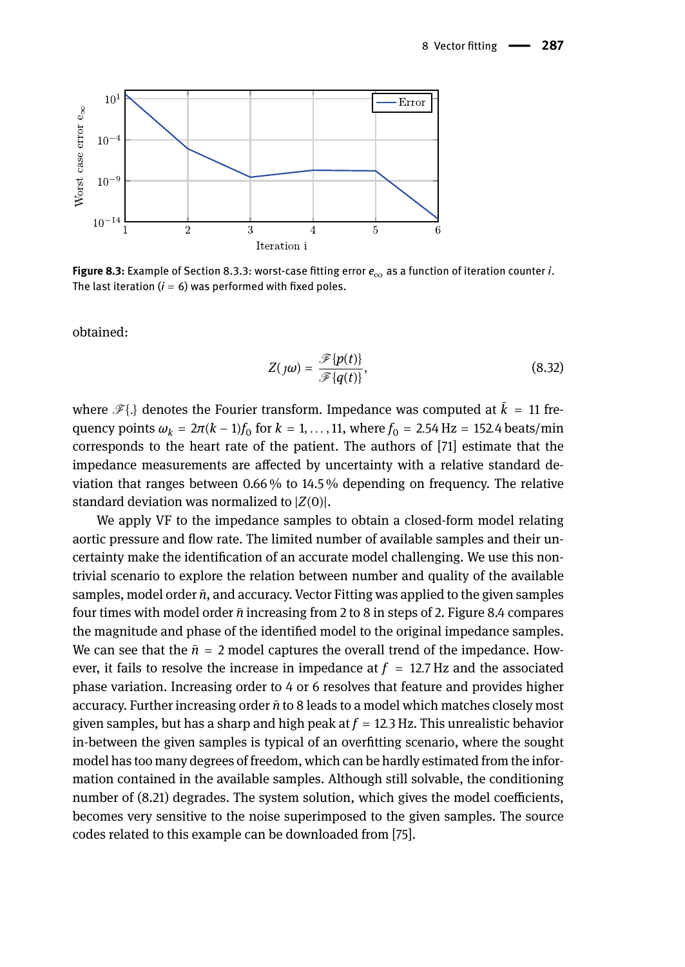

**Figure 8.3:** Example of Section 8.3.3: worst-case fitting error *e*<sup>∞</sup> as a function of iteration counter *i*. The last iteration  $(i = 6)$  was performed with fixed poles.

obtained:

$$
Z(j\omega) = \frac{\mathcal{F}\{p(t)\}}{\mathcal{F}\{q(t)\}},\tag{8.32}
$$

where  $\mathcal{F}\{\}\$  denotes the Fourier transform. Impedance was computed at  $\bar{k} = 11$  fre- $\alpha_k = 2π(k − 1)f_0$  for  $k = 1, ..., 11$ , where  $f_0 = 2.54$  Hz = 152.4 beats/min corresponds to the heart rate of the patient. The authors of [71] estimate that the impedance measurements are affected by uncertainty with a relative standard deviation that ranges between 0.66 % to 14.5 % depending on frequency. The relative standard deviation was normalized to |*Z*(0)|.

We apply VF to the impedance samples to obtain a closed-form model relating aortic pressure and flow rate. The limited number of available samples and their uncertainty make the identification of an accurate model challenging. We use this nontrivial scenario to explore the relation between number and quality of the available samples, model order  $\bar{n}$ , and accuracy. Vector Fitting was applied to the given samples four times with model order *n*̄increasing from 2 to 8 in steps of 2. Figure 8.4 compares the magnitude and phase of the identified model to the original impedance samples. We can see that the  $\bar{n} = 2$  model captures the overall trend of the impedance. However, it fails to resolve the increase in impedance at  $f = 12.7$  Hz and the associated phase variation. Increasing order to 4 or 6 resolves that feature and provides higher accuracy. Further increasing order *n*̄to 8 leads to a model which matches closely most given samples, but has a sharp and high peak at  $f = 12.3$  Hz. This unrealistic behavior in-between the given samples is typical of an overfitting scenario, where the sought model has too many degrees of freedom, which can be hardly estimated from the information contained in the available samples. Although still solvable, the conditioning number of (8.21) degrades. The system solution, which gives the model coefficients, becomes very sensitive to the noise superimposed to the given samples. The source codes related to this example can be downloaded from [75].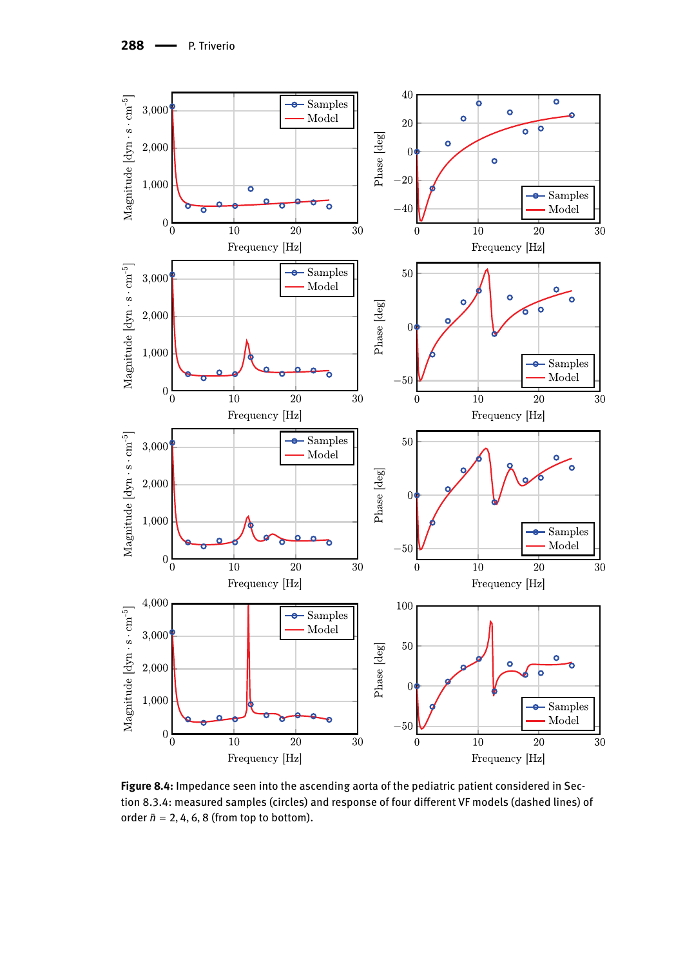288 - P. Triverio



**Figure 8.4:** Impedance seen into the ascending aorta of the pediatric patient considered in Section 8.3.4: measured samples (circles) and response of four different VF models (dashed lines) of order  $\bar{n} = 2, 4, 6, 8$  (from top to bottom).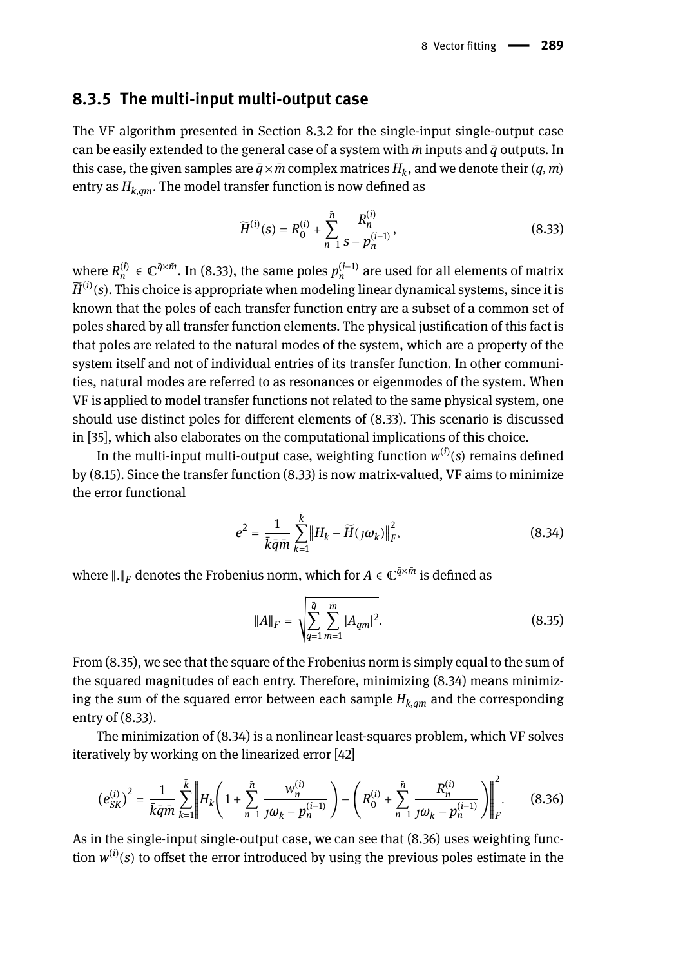### **8.3.5 The multi-input multi-output case**

The VF algorithm presented in Section 8.3.2 for the single-input single-output case can be easily extended to the general case of a system with  $\bar{m}$  inputs and  $\bar{q}$  outputs. In this case, the given samples are  $\bar{q} \times \bar{m}$  complex matrices  $H_k$ , and we denote their  $(q,m)$ entry as  $H_{k,qm}$ . The model transfer function is now defined as

$$
\widetilde{H}^{(i)}(s) = R_0^{(i)} + \sum_{n=1}^{\tilde{n}} \frac{R_n^{(i)}}{s - p_n^{(i-1)}},
$$
\n(8.33)

where  $R_n^{(i)} \in \mathbb{C}^{\bar{q} \times \bar{m}}$ . In (8.33), the same poles  $p_n^{(i-1)}$  are used for all elements of matrix  $\widetilde{H}^{(i)}(s)$ . This choice is appropriate when modeling linear dynamical systems, since it is known that the poles of each transfer function entry are a subset of a common set of poles shared by all transfer function elements. The physical justification of this fact is that poles are related to the natural modes of the system, which are a property of the system itself and not of individual entries of its transfer function. In other communities, natural modes are referred to as resonances or eigenmodes of the system. When VF is applied to model transfer functions not related to the same physical system, one should use distinct poles for different elements of (8.33). This scenario is discussed in [35], which also elaborates on the computational implications of this choice.

In the multi-input multi-output case, weighting function  $w^{(i)}(s)$  remains defined by (8.15). Since the transfer function (8.33) is now matrix-valued, VF aims to minimize the error functional

$$
e^{2} = \frac{1}{k\bar{q}\bar{m}}\sum_{k=1}^{k} \left\|H_{k} - \widetilde{H}(j\omega_{k})\right\|_{F}^{2},
$$
\n(8.34)

where  $\|.\|_F$  denotes the Frobenius norm, which for  $A\in\mathbb{C}^{\bar{q}\times\bar{m}}$  is defined as

$$
||A||_F = \sqrt{\sum_{q=1}^{\tilde{q}} \sum_{m=1}^{\tilde{m}} |A_{qm}|^2}.
$$
 (8.35)

From (8.35), we see that the square of the Frobenius norm is simply equal to the sum of the squared magnitudes of each entry. Therefore, minimizing (8.34) means minimizing the sum of the squared error between each sample  $H_{k, qm}$  and the corresponding entry of (8.33).

The minimization of (8.34) is a nonlinear least-squares problem, which VF solves iteratively by working on the linearized error [42]

$$
\left(e_{SK}^{(i)}\right)^2 = \frac{1}{\bar{k}\bar{q}\bar{m}}\sum_{k=1}^{\bar{k}} \left\|H_k\left(1 + \sum_{n=1}^{\bar{n}} \frac{w_n^{(i)}}{j\omega_k - p_n^{(i-1)}}\right) - \left(R_0^{(i)} + \sum_{n=1}^{\bar{n}} \frac{R_n^{(i)}}{j\omega_k - p_n^{(i-1)}}\right)\right\|_F^2.
$$
(8.36)

As in the single-input single-output case, we can see that (8.36) uses weighting function  $w^{(i)}(s)$  to offset the error introduced by using the previous poles estimate in the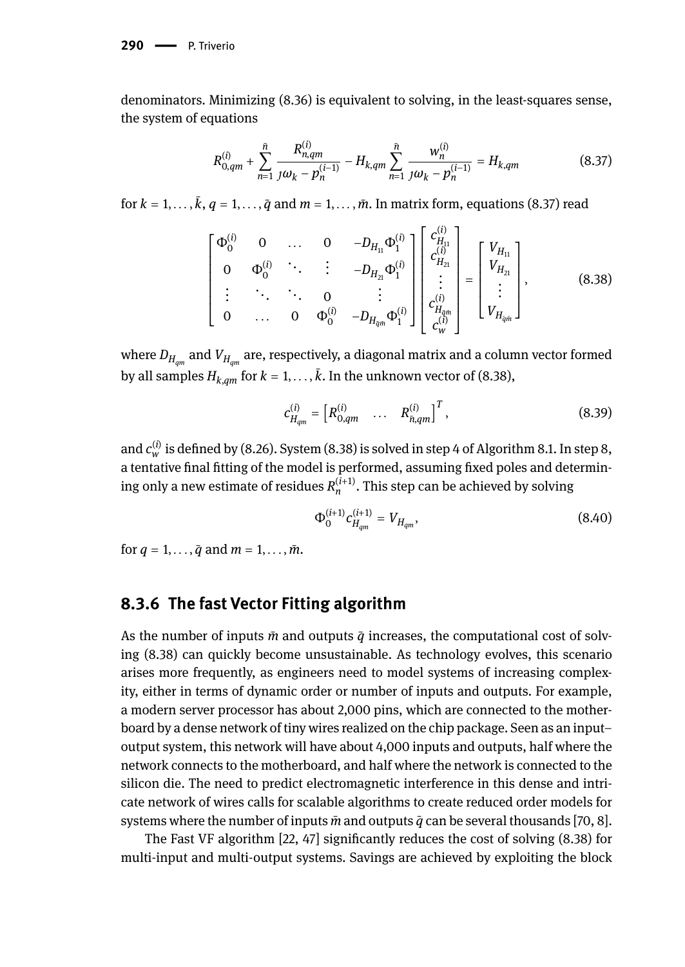**290 - P. Triverio** 

denominators. Minimizing (8.36) is equivalent to solving, in the least-squares sense, the system of equations

$$
R_{0,qm}^{(i)} + \sum_{n=1}^{\bar{n}} \frac{R_{n,qm}^{(i)}}{j\omega_k - p_n^{(i-1)}} - H_{k,qm} \sum_{n=1}^{\bar{n}} \frac{w_n^{(i)}}{j\omega_k - p_n^{(i-1)}} = H_{k,qm}
$$
(8.37)

for  $k = 1, \ldots, k$ ,  $q = 1, \ldots, \bar{q}$  and  $m = 1, \ldots, \bar{m}$ . In matrix form, equations (8.37) read

$$
\begin{bmatrix} \Phi_0^{(i)} & 0 & \dots & 0 & -D_{H_{11}} \Phi_1^{(i)} \\ 0 & \Phi_0^{(i)} & \ddots & \vdots & -D_{H_{21}} \Phi_1^{(i)} \\ \vdots & \ddots & \ddots & 0 & \vdots \\ 0 & \dots & 0 & \Phi_0^{(i)} & -D_{H_{2m}} \Phi_1^{(i)} \end{bmatrix} \begin{bmatrix} c_{H_{11}}^{(i)} \\ c_{H_{21}}^{(i)} \\ \vdots \\ c_{H_{2m}}^{(i)} \\ c_{W}^{(i)} \end{bmatrix} = \begin{bmatrix} V_{H_{11}} \\ V_{H_{21}} \\ \vdots \\ V_{H_{2m}} \end{bmatrix},
$$
(8.38)

where *DHqm* and *VHqm* are, respectively, a diagonal matrix and a column vector formed by all samples  $H_{k,qm}$  for  $k = 1, \ldots, k$ . In the unknown vector of (8.38),

$$
c_{H_{qm}}^{(i)} = \begin{bmatrix} R_{0,qm}^{(i)} & \cdots & R_{\bar{n},qm}^{(i)} \end{bmatrix}^T, \tag{8.39}
$$

and  $c_w^{(i)}$  is defined by (8.26). System (8.38) is solved in step 4 of Algorithm 8.1. In step 8, a tentative final fitting of the model is performed, assuming fixed poles and determining only a new estimate of residues  $R_n^{(i+1)}$ . This step can be achieved by solving

$$
\Phi_0^{(i+1)} c_{H_{qm}}^{(i+1)} = V_{H_{qm}},\tag{8.40}
$$

for  $q = 1, ..., \bar{q}$  and  $m = 1, ..., \bar{m}$ .

## **8.3.6 The fast Vector Fitting algorithm**

As the number of inputs  $\bar{m}$  and outputs  $\bar{q}$  increases, the computational cost of solving (8.38) can quickly become unsustainable. As technology evolves, this scenario arises more frequently, as engineers need to model systems of increasing complexity, either in terms of dynamic order or number of inputs and outputs. For example, a modern server processor has about 2,000 pins, which are connected to the motherboard by a dense network of tiny wires realized on the chip package. Seen as an input– output system, this network will have about 4,000 inputs and outputs, half where the network connects to the motherboard, and half where the network is connected to the silicon die. The need to predict electromagnetic interference in this dense and intricate network of wires calls for scalable algorithms to create reduced order models for systems where the number of inputs  $\bar{m}$  and outputs  $\bar{q}$  can be several thousands [70, 8].

The Fast VF algorithm [22, 47] significantly reduces the cost of solving (8.38) for multi-input and multi-output systems. Savings are achieved by exploiting the block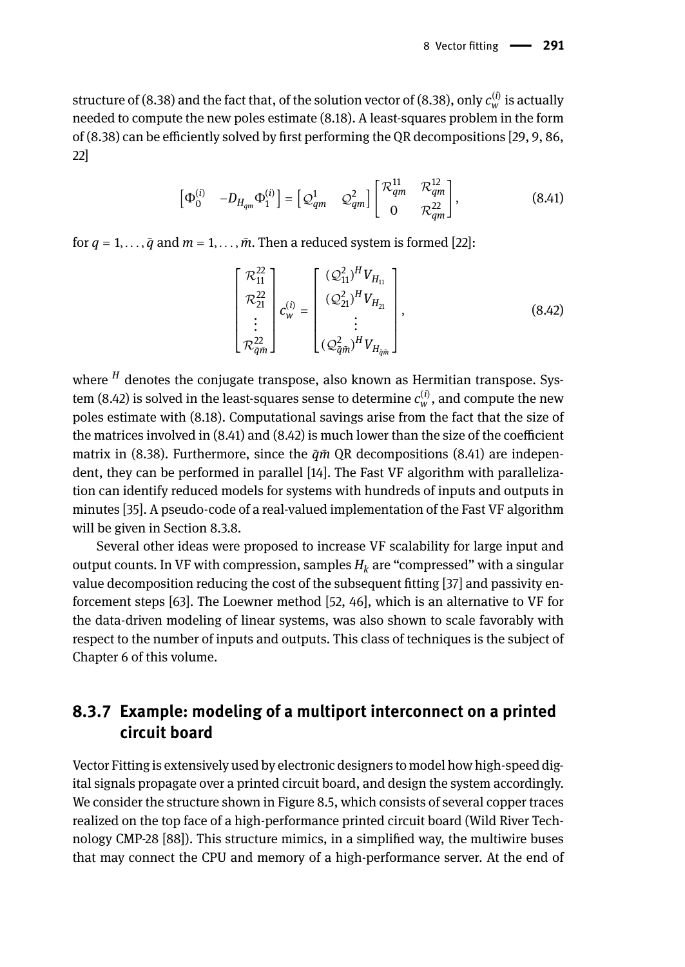structure of (8.38) and the fact that, of the solution vector of (8.38), only  $c_w^{(i)}$  is actually needed to compute the new poles estimate (8.18). A least-squares problem in the form of (8.38) can be efficiently solved by first performing the QR decompositions [29, 9, 86, 22]

$$
\begin{bmatrix} \Phi_0^{(i)} & -D_{H_{qm}} \Phi_1^{(i)} \end{bmatrix} = \begin{bmatrix} \mathcal{Q}_{qm}^1 & \mathcal{Q}_{qm}^2 \end{bmatrix} \begin{bmatrix} \mathcal{R}_{qm}^{11} & \mathcal{R}_{qm}^{12} \\ 0 & \mathcal{R}_{qm}^{22} \end{bmatrix},
$$
(8.41)

for  $q = 1, \ldots, \bar{q}$  and  $m = 1, \ldots, \bar{m}$ . Then a reduced system is formed [22]:

$$
\begin{bmatrix} \mathcal{R}_{11}^{22} \\ \mathcal{R}_{21}^{22} \\ \vdots \\ \mathcal{R}_{\bar{q}\bar{m}}^{22} \end{bmatrix} c_{w}^{(i)} = \begin{bmatrix} (\mathcal{Q}_{11}^{2})^{H} V_{H_{11}} \\ (\mathcal{Q}_{21}^{2})^{H} V_{H_{21}} \\ \vdots \\ (\mathcal{Q}_{\bar{q}\bar{m}}^{2})^{H} V_{H_{\bar{q}\bar{m}}} \end{bmatrix},
$$
(8.42)

where *<sup>H</sup>* denotes the conjugate transpose, also known as Hermitian transpose. System (8.42) is solved in the least-squares sense to determine  $c_w^{(i)}$ , and compute the new poles estimate with (8.18). Computational savings arise from the fact that the size of the matrices involved in (8.41) and (8.42) is much lower than the size of the coefficient matrix in (8.38). Furthermore, since the  $\bar{q}\bar{m}$  QR decompositions (8.41) are independent, they can be performed in parallel [14]. The Fast VF algorithm with parallelization can identify reduced models for systems with hundreds of inputs and outputs in minutes [35]. A pseudo-code of a real-valued implementation of the Fast VF algorithm will be given in Section 8.3.8.

Several other ideas were proposed to increase VF scalability for large input and output counts. In VF with compression, samples  $H_k$  are "compressed" with a singular value decomposition reducing the cost of the subsequent fitting [37] and passivity enforcement steps [63]. The Loewner method [52, 46], which is an alternative to VF for the data-driven modeling of linear systems, was also shown to scale favorably with respect to the number of inputs and outputs. This class of techniques is the subject of Chapter 6 of this volume.

## **8.3.7 Example: modeling of a multiport interconnect on a printed circuit board**

Vector Fitting is extensively used by electronic designers to model how high-speed digital signals propagate over a printed circuit board, and design the system accordingly. We consider the structure shown in Figure 8.5, which consists of several copper traces realized on the top face of a high-performance printed circuit board (Wild River Technology CMP-28 [88]). This structure mimics, in a simplified way, the multiwire buses that may connect the CPU and memory of a high-performance server. At the end of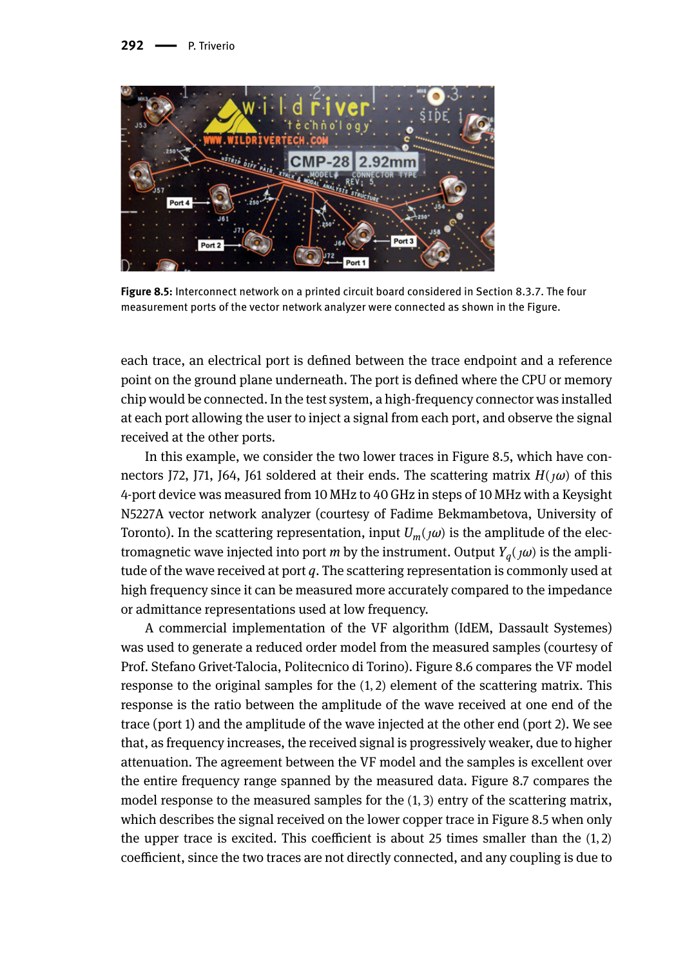

**Figure 8.5:** Interconnect network on a printed circuit board considered in Section 8.3.7. The four measurement ports of the vector network analyzer were connected as shown in the Figure.

each trace, an electrical port is defined between the trace endpoint and a reference point on the ground plane underneath. The port is defined where the CPU or memory chip would be connected. In the test system, a high-frequency connector was installed at each port allowing the user to inject a signal from each port, and observe the signal received at the other ports.

In this example, we consider the two lower traces in Figure 8.5, which have connectors J72, J71, J64, J61 soldered at their ends. The scattering matrix  $H(\omega)$  of this 4-port device was measured from 10 MHz to 40 GHz in steps of 10 MHz with a Keysight N5227A vector network analyzer (courtesy of Fadime Bekmambetova, University of Toronto). In the scattering representation, input  $U_m(\alpha)$  is the amplitude of the electromagnetic wave injected into port *m* by the instrument. Output *Y<sup>q</sup>* (*ω*) is the amplitude of the wave received at port *q*. The scattering representation is commonly used at high frequency since it can be measured more accurately compared to the impedance or admittance representations used at low frequency.

A commercial implementation of the VF algorithm (IdEM, Dassault Systemes) was used to generate a reduced order model from the measured samples (courtesy of Prof. Stefano Grivet-Talocia, Politecnico di Torino). Figure 8.6 compares the VF model response to the original samples for the (1, 2) element of the scattering matrix. This response is the ratio between the amplitude of the wave received at one end of the trace (port 1) and the amplitude of the wave injected at the other end (port 2). We see that, as frequency increases, the received signal is progressively weaker, due to higher attenuation. The agreement between the VF model and the samples is excellent over the entire frequency range spanned by the measured data. Figure 8.7 compares the model response to the measured samples for the (1, 3) entry of the scattering matrix, which describes the signal received on the lower copper trace in Figure 8.5 when only the upper trace is excited. This coefficient is about 25 times smaller than the  $(1, 2)$ coefficient, since the two traces are not directly connected, and any coupling is due to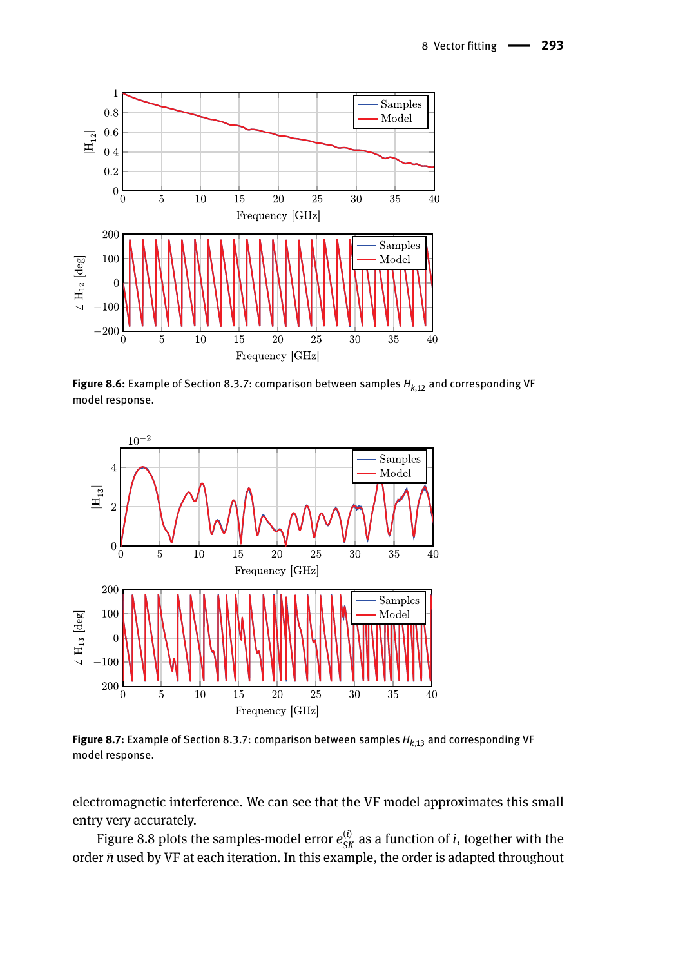

**Figure 8.6:** Example of Section 8.3.7: comparison between samples *Hk*,<sup>12</sup> and corresponding VF model response.



Figure 8.7: Example of Section 8.3.7: comparison between samples  $H_{k,13}$  and corresponding VF model response.

electromagnetic interference. We can see that the VF model approximates this small entry very accurately.

Figure 8.8 plots the samples-model error  $e_{SK}^{(i)}$  as a function of *i*, together with the order *n*̄used by VF at each iteration. In this example, the order is adapted throughout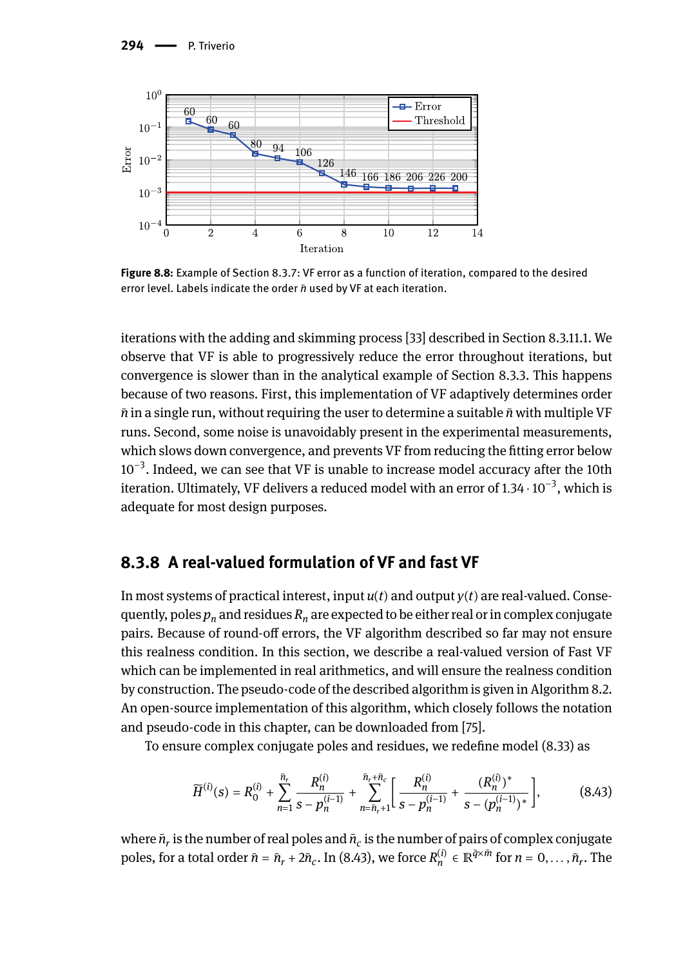

**Figure 8.8:** Example of Section 8.3.7: VF error as a function of iteration, compared to the desired error level. Labels indicate the order *n*̄used by VF at each iteration.

iterations with the adding and skimming process [33] described in Section 8.3.11.1. We observe that VF is able to progressively reduce the error throughout iterations, but convergence is slower than in the analytical example of Section 8.3.3. This happens because of two reasons. First, this implementation of VF adaptively determines order *n*̄in a single run, without requiring the user to determine a suitable *n*̄with multiple VF runs. Second, some noise is unavoidably present in the experimental measurements, which slows down convergence, and prevents VF from reducing the fitting error below 10<sup>-3</sup>. Indeed, we can see that VF is unable to increase model accuracy after the 10th iteration. Ultimately, VF delivers a reduced model with an error of 1.34  $\cdot$  10 $^{-3}$ , which is adequate for most design purposes.

#### **8.3.8 A real-valued formulation of VF and fast VF**

In most systems of practical interest, input  $u(t)$  and output  $y(t)$  are real-valued. Consequently, poles  $p_n$  and residues  $R_n$  are expected to be either real or in complex conjugate pairs. Because of round-off errors, the VF algorithm described so far may not ensure this realness condition. In this section, we describe a real-valued version of Fast VF which can be implemented in real arithmetics, and will ensure the realness condition by construction. The pseudo-code of the described algorithm is given in Algorithm 8.2. An open-source implementation of this algorithm, which closely follows the notation and pseudo-code in this chapter, can be downloaded from [75].

To ensure complex conjugate poles and residues, we redefine model (8.33) as

$$
\widetilde{H}^{(i)}(s) = R_0^{(i)} + \sum_{n=1}^{\bar{n}_r} \frac{R_n^{(i)}}{s - p_n^{(i-1)}} + \sum_{n=\bar{n}_r+1}^{\bar{n}_r+\bar{n}_c} \left[ \frac{R_n^{(i)}}{s - p_n^{(i-1)}} + \frac{(R_n^{(i)})^*}{s - (p_n^{(i-1)})^*} \right],\tag{8.43}
$$

where  $\bar{n}_r$  is the number of real poles and  $\bar{n}_c$  is the number of pairs of complex conjugate poles, for a total order  $\bar{n} = \bar{n}_r + 2\bar{n}_c$ . In (8.43), we force  $R_n^{(i)} \in \mathbb{R}^{\bar{q} \times \bar{m}}$  for  $n = 0, \ldots, \bar{n}_r$ . The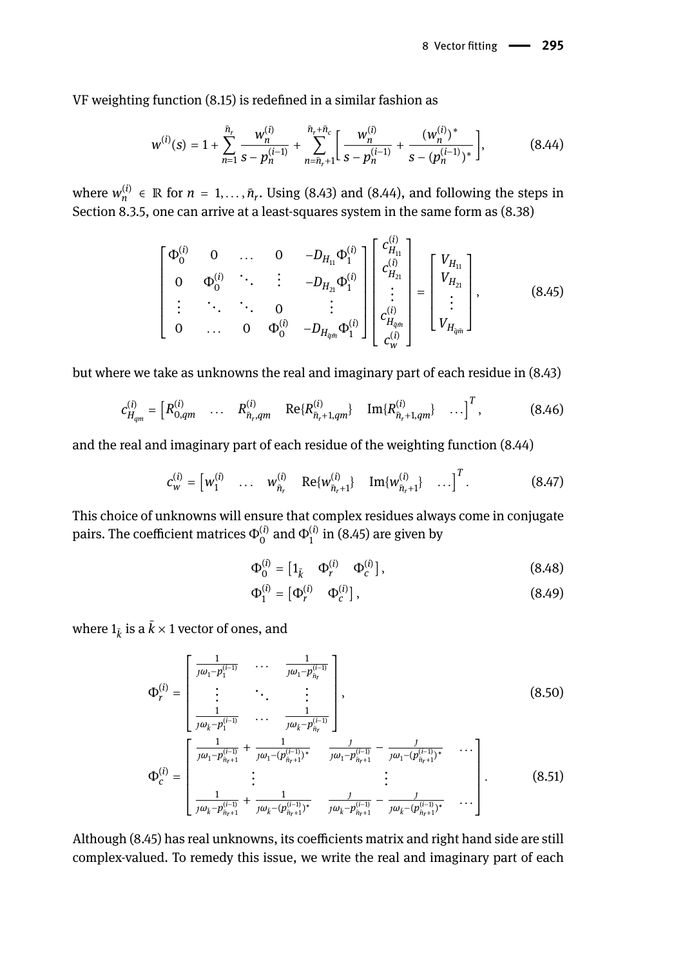VF weighting function (8.15) is redefined in a similar fashion as

$$
w^{(i)}(s) = 1 + \sum_{n=1}^{\bar{n}_r} \frac{w_n^{(i)}}{s - p_n^{(i-1)}} + \sum_{n=\bar{n}_r+1}^{\bar{n}_r+\bar{n}_c} \left[ \frac{w_n^{(i)}}{s - p_n^{(i-1)}} + \frac{(w_n^{(i)})^*}{s - (p_n^{(i-1)})^*} \right],
$$
(8.44)

where  $w_n^{(i)} \in \mathbb{R}$  for  $n = 1, ..., \bar{n}_r$ . Using (8.43) and (8.44), and following the steps in Section 8.3.5, one can arrive at a least-squares system in the same form as (8.38)

$$
\begin{bmatrix} \Phi_0^{(i)} & 0 & \dots & 0 & -D_{H_{11}} \Phi_1^{(i)} \\ 0 & \Phi_0^{(i)} & \ddots & \vdots & -D_{H_{21}} \Phi_1^{(i)} \\ \vdots & \ddots & \ddots & 0 & \vdots \\ 0 & \dots & 0 & \Phi_0^{(i)} & -D_{H_{q_i m}} \Phi_1^{(i)} \end{bmatrix} \begin{bmatrix} c_{H_{11}}^{(i)} \\ c_{H_{21}}^{(i)} \\ \vdots \\ c_{H_{q_i m}}^{(i)} \end{bmatrix} = \begin{bmatrix} V_{H_{11}} \\ V_{H_{21}} \\ \vdots \\ V_{H_{q_i m}} \end{bmatrix},
$$
(8.45)

 $\sqrt{2}$ 

but where we take as unknowns the real and imaginary part of each residue in (8.43)

$$
c_{H_{qm}}^{(i)} = \begin{bmatrix} R_{0,qm}^{(i)} & \dots & R_{\bar{n}_r,qm}^{(i)} & \text{Re}\{R_{\bar{n}_r+1,qm}^{(i)}\} & \text{Im}\{R_{\bar{n}_r+1,qm}^{(i)}\} & \dots \end{bmatrix}^T, \tag{8.46}
$$

and the real and imaginary part of each residue of the weighting function (8.44)

$$
c_{w}^{(i)} = \begin{bmatrix} w_1^{(i)} & \dots & w_{\bar{n}_r}^{(i)} & \text{Re}\{w_{\bar{n}_r+1}^{(i)}\} & \text{Im}\{w_{\bar{n}_r+1}^{(i)}\} & \dots \end{bmatrix}^T. \tag{8.47}
$$

This choice of unknowns will ensure that complex residues always come in conjugate pairs. The coefficient matrices  $\Phi_0^{(i)}$  and  $\Phi_1^{(i)}$  in (8.45) are given by

$$
\Phi_0^{(i)} = \begin{bmatrix} 1_{\bar{k}} & \Phi_r^{(i)} & \Phi_c^{(i)} \end{bmatrix},\tag{8.48}
$$

$$
\Phi_1^{(i)} = \begin{bmatrix} \Phi_r^{(i)} & \Phi_c^{(i)} \end{bmatrix},\tag{8.49}
$$

where  $1_{\bar{k}}$  is a  $k\times 1$  vector of ones, and

$$
\Phi_r^{(i)} = \begin{bmatrix} \frac{1}{j\omega_1 - p_1^{(i-1)}} & \cdots & \frac{1}{j\omega_1 - p_{n_r}^{(i-1)}} \\ \vdots & \ddots & \vdots \\ \frac{1}{j\omega_r - p_1^{(i-1)}} & \cdots & \frac{1}{j\omega_r - p_{n_r}^{(i-1)}} \end{bmatrix},
$$
\n(8.50)

$$
\Phi_c^{(i)} = \begin{bmatrix}\n\frac{1}{j\omega_k - p_{n+1}^{(i-1)}} + \frac{1}{j\omega_1 - (p_{n+1}^{(i-1)})^*} & \frac{j}{j\omega_1 - p_{n+1}^{(i-1)}} - \frac{j}{j\omega_1 - (p_{n+1}^{(i-1)})^*} & \cdots \\
\vdots & \vdots & \vdots & \vdots \\
\frac{1}{j\omega_k - p_{n+1}^{(i-1)}} + \frac{1}{j\omega_k - (p_{n+1}^{(i-1)})^*} & \frac{j}{j\omega_k - p_{n+1}^{(i-1)}} - \frac{j}{j\omega_k - (p_{n+1}^{(i-1)})^*} & \cdots\n\end{bmatrix}.
$$
\n(8.51)

Although (8.45) has real unknowns, its coefficients matrix and right hand side are still complex-valued. To remedy this issue, we write the real and imaginary part of each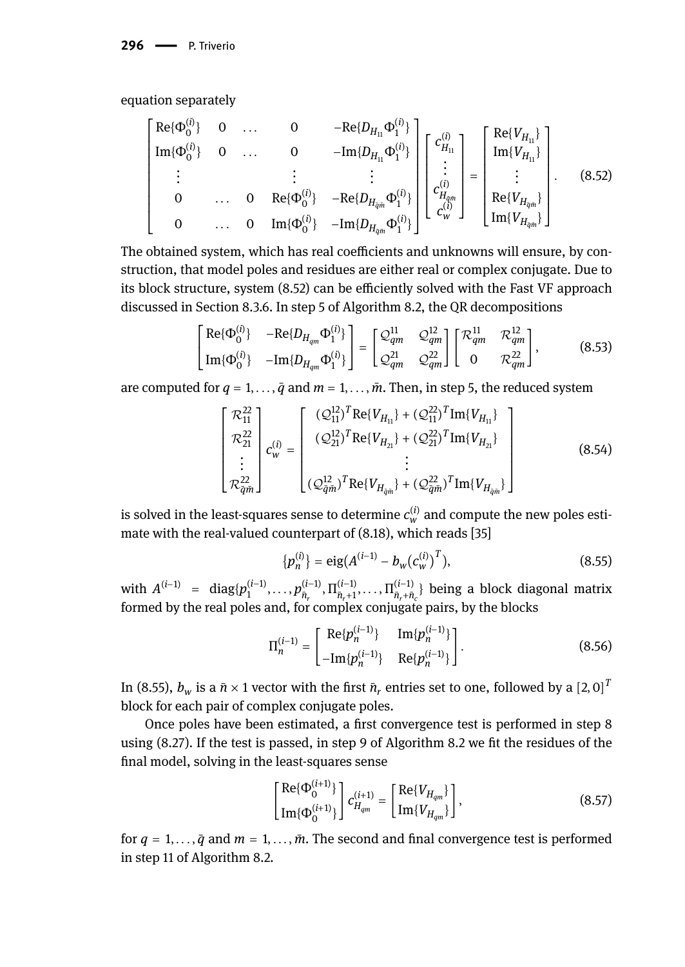equation separately

$$
\begin{bmatrix}\n\text{Re}\{\Phi_{0}^{(i)}\} & 0 & \dots & 0 & -\text{Re}\{D_{H_{11}}\Phi_{1}^{(i)}\} \\
\text{Im}\{\Phi_{0}^{(i)}\} & 0 & \dots & 0 & -\text{Im}\{D_{H_{11}}\Phi_{1}^{(i)}\} \\
\vdots & \vdots & \vdots & \vdots \\
0 & \dots & 0 & \text{Re}\{\Phi_{0}^{(i)}\} & -\text{Re}\{D_{H_{qm}}\Phi_{1}^{(i)}\} \\
0 & \dots & 0 & \text{Im}\{\Phi_{0}^{(i)}\} & -\text{Im}\{D_{H_{qm}}\Phi_{1}^{(i)}\}\n\end{bmatrix}\n\begin{bmatrix}\nc_{H_{11}}^{(i)} \\
\vdots \\
c_{H_{qm}}^{(i)} \\
\vdots \\
c_{W}^{(i)}\n\end{bmatrix} = \begin{bmatrix}\n\text{Re}\{V_{H_{11}}\} \\
\text{Im}\{V_{H_{11}}\} \\
\vdots \\
\text{Re}\{V_{H_{qm}}\}\n\end{bmatrix}.\n\tag{8.52}
$$

The obtained system, which has real coefficients and unknowns will ensure, by construction, that model poles and residues are either real or complex conjugate. Due to its block structure, system (8.52) can be efficiently solved with the Fast VF approach discussed in Section 8.3.6. In step 5 of Algorithm 8.2, the QR decompositions

$$
\begin{bmatrix} \text{Re}\{\Phi_0^{(i)}\} & -\text{Re}\{D_{H_{qm}}\Phi_1^{(i)}\} \\ \text{Im}\{\Phi_0^{(i)}\} & -\text{Im}\{D_{H_{qm}}\Phi_1^{(i)}\} \end{bmatrix} = \begin{bmatrix} \mathcal{Q}_{qm}^{11} & \mathcal{Q}_{qm}^{12} \\ \mathcal{Q}_{qm}^{21} & \mathcal{Q}_{qm}^{22} \end{bmatrix} \begin{bmatrix} \mathcal{R}_{qm}^{11} & \mathcal{R}_{qm}^{12} \\ 0 & \mathcal{R}_{qm}^{22} \end{bmatrix},
$$
(8.53)

are computed for  $q = 1, \ldots, \bar{q}$  and  $m = 1, \ldots, \bar{m}$ . Then, in step 5, the reduced system

$$
\begin{bmatrix}\n\mathcal{R}_{11}^{22} \\
\mathcal{R}_{21}^{22} \\
\vdots \\
\mathcal{R}_{\tilde{q}\tilde{m}}^{22}\n\end{bmatrix} c_{w}^{(i)} = \begin{bmatrix}\n(\mathcal{Q}_{11}^{12})^{T} \text{Re}\{V_{H_{11}}\} + (\mathcal{Q}_{11}^{22})^{T} \text{Im}\{V_{H_{11}}\} \\
(\mathcal{Q}_{21}^{12})^{T} \text{Re}\{V_{H_{21}}\} + (\mathcal{Q}_{21}^{22})^{T} \text{Im}\{V_{H_{21}}\} \\
\vdots \\
(\mathcal{Q}_{\tilde{q}\tilde{m}}^{12})^{T} \text{Re}\{V_{H_{\tilde{q}\tilde{m}}}\} + (\mathcal{Q}_{\tilde{q}\tilde{m}}^{22})^{T} \text{Im}\{V_{H_{\tilde{q}\tilde{m}}}\}\n\end{bmatrix}
$$
\n(8.54)

is solved in the least-squares sense to determine  $c_w^{(i)}$  and compute the new poles estimate with the real-valued counterpart of (8.18), which reads [35]

$$
\{p_n^{(i)}\} = \text{eig}(A^{(i-1)} - b_w(c_w^{(i)})^T),\tag{8.55}
$$

with  $A^{(i-1)}$  = diag $\{p_1^{(i-1)}, \ldots, p_{\bar{n}_r}^{(i-1)}, \Pi_{\bar{n}_r+1}^{(i-1)}, \ldots, \Pi_{\bar{n}_r+\bar{n}_c}^{(i-1)}\}$  being a block diagonal matrix formed by the real poles and, for complex conjugate pairs, by the blocks

$$
\Pi_n^{(i-1)} = \begin{bmatrix} \text{Re}\{p_n^{(i-1)}\} & \text{Im}\{p_n^{(i-1)}\} \\ -\text{Im}\{p_n^{(i-1)}\} & \text{Re}\{p_n^{(i-1)}\} \end{bmatrix} . \tag{8.56}
$$

In (8.55),  $b_w$  is a  $\bar{n} \times 1$  vector with the first  $\bar{n}_r$  entries set to one, followed by a  $[2,0]^T$ block for each pair of complex conjugate poles.

Once poles have been estimated, a first convergence test is performed in step 8 using (8.27). If the test is passed, in step 9 of Algorithm 8.2 we fit the residues of the final model, solving in the least-squares sense

$$
\begin{bmatrix} \text{Re}\{\Phi_0^{(i+1)}\} \\ \text{Im}\{\Phi_0^{(i+1)}\} \end{bmatrix} c_{H_{qm}}^{(i+1)} = \begin{bmatrix} \text{Re}\{V_{H_{qm}}\} \\ \text{Im}\{V_{H_{qm}}\} \end{bmatrix},
$$
(8.57)

for  $q = 1, \ldots, \bar{q}$  and  $m = 1, \ldots, \bar{m}$ . The second and final convergence test is performed in step 11 of Algorithm 8.2.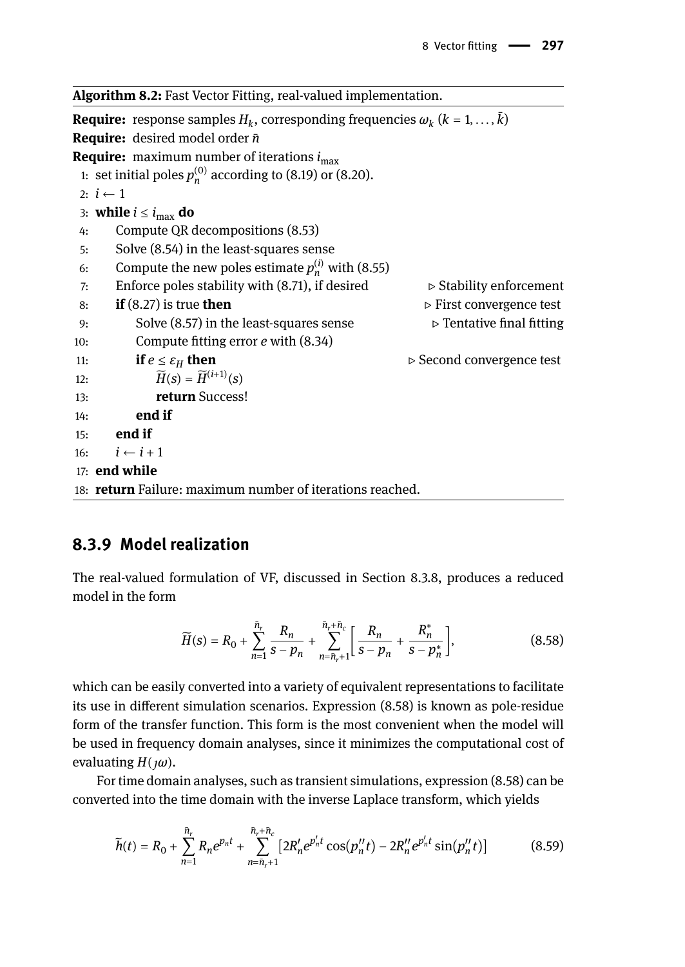**Algorithm 8.2:** Fast Vector Fitting, real-valued implementation. **Require:** response samples  $H_k$ , corresponding frequencies  $\omega_k$   $(k = 1, \ldots, k)$ **Require:** desired model order *n*̄ **Require:** maximum number of iterations  $i_{\text{max}}$ 1: set initial poles  $p_n^{(0)}$  according to (8.19) or (8.20). 2:  $i$  ← 1 3: **while**  $i \leq i_{\text{max}}$  **do** 4: Compute QR decompositions (8.53) 5: Solve (8.54) in the least-squares sense 6: Compute the new poles estimate  $p_n^{(i)}$  with (8.55) 7: Enforce poles stability with (8.71), if desired  $\rho$  Stability enforcement <br>8: **if** (8.27) is true **then**  $\rho$  First convergence test 8: **if** (8.27) is true **then** ⊳ First convergence test 9: Solve (8.57) in the least-squares sense ⊳ Tentative final fitting 10: Compute fitting error *e* with (8.34) 11: **if**  $e \le \varepsilon_H$  **then**  $\triangleright$  Second convergence test 12:  $\widetilde{H}(s) = \widetilde{H}^{(i+1)}(s)$ 13: **return** Success! 14: **end if** 15: **end if** 16:  $i \leftarrow i + 1$ 17: **end while** 18: **return** Failure: maximum number of iterations reached.

## **8.3.9 Model realization**

The real-valued formulation of VF, discussed in Section 8.3.8, produces a reduced model in the form

$$
\widetilde{H}(s) = R_0 + \sum_{n=1}^{\bar{n}_r} \frac{R_n}{s - p_n} + \sum_{n=\bar{n}_r+1}^{\bar{n}_r+\bar{n}_c} \left[ \frac{R_n}{s - p_n} + \frac{R_n^*}{s - p_n^*} \right],
$$
\n(8.58)

which can be easily converted into a variety of equivalent representations to facilitate its use in different simulation scenarios. Expression (8.58) is known as pole-residue form of the transfer function. This form is the most convenient when the model will be used in frequency domain analyses, since it minimizes the computational cost of evaluating *H*(*ω*).

For time domain analyses, such as transient simulations, expression (8.58) can be converted into the time domain with the inverse Laplace transform, which yields

$$
\widetilde{h}(t) = R_0 + \sum_{n=1}^{\bar{n}_r} R_n e^{p_n t} + \sum_{n=\bar{n}_r+1}^{\bar{n}_r + \bar{n}_c} \left[ 2R'_n e^{p'_n t} \cos(p''_n t) - 2R''_n e^{p'_n t} \sin(p''_n t) \right] \tag{8.59}
$$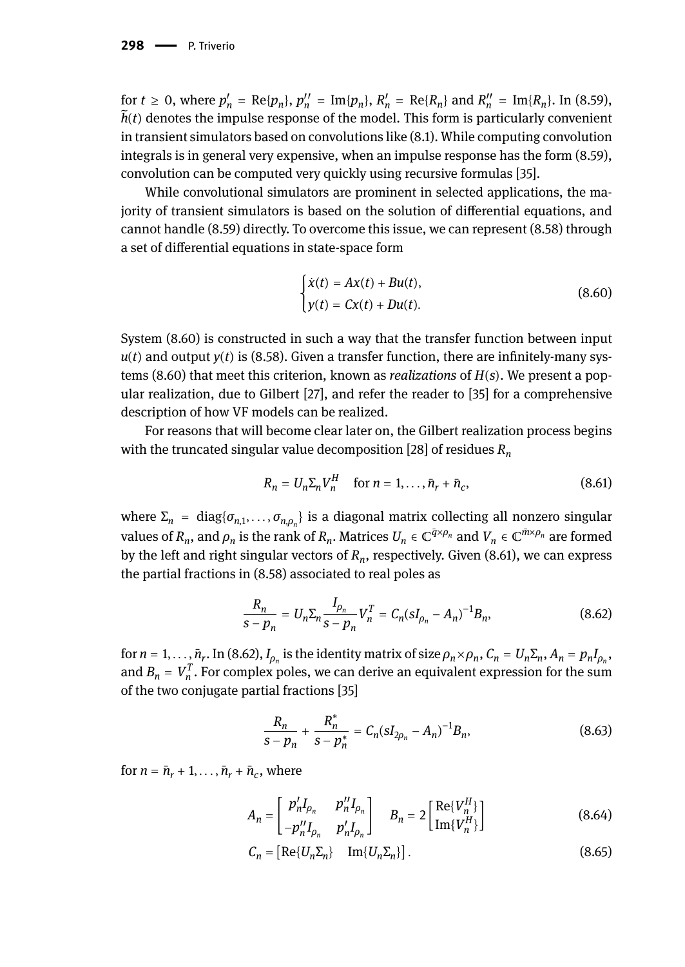for  $t \ge 0$ , where  $p'_n = \text{Re}\{p_n\}$ ,  $p''_n = \text{Im}\{p_n\}$ ,  $R'_n = \text{Re}\{R_n\}$  and  $R''_n = \text{Im}\{R_n\}$ . In (8.59),  $\bar{h}(t)$  denotes the impulse response of the model. This form is particularly convenient in transient simulators based on convolutions like (8.1). While computing convolution integrals is in general very expensive, when an impulse response has the form (8.59), convolution can be computed very quickly using recursive formulas [35].

While convolutional simulators are prominent in selected applications, the majority of transient simulators is based on the solution of differential equations, and cannot handle (8.59) directly. To overcome this issue, we can represent (8.58) through a set of differential equations in state-space form

$$
\begin{cases}\n\dot{x}(t) = Ax(t) + Bu(t), \\
y(t) = Cx(t) + Du(t).\n\end{cases}
$$
\n(8.60)

System (8.60) is constructed in such a way that the transfer function between input  $u(t)$  and output  $y(t)$  is (8.58). Given a transfer function, there are infinitely-many systems (8.60) that meet this criterion, known as *realizations* of *H*(*s*). We present a popular realization, due to Gilbert [27], and refer the reader to [35] for a comprehensive description of how VF models can be realized.

For reasons that will become clear later on, the Gilbert realization process begins with the truncated singular value decomposition [28] of residues *R<sup>n</sup>*

$$
R_n = U_n \Sigma_n V_n^H \quad \text{for } n = 1, ..., \bar{n}_r + \bar{n}_c,
$$
 (8.61)

where  $\Sigma_n = \text{diag}\{\sigma_{n,1},\ldots,\sigma_{n,\rho_n}\}$  is a diagonal matrix collecting all nonzero singular values of  $R_n$ , and  $\rho_n$  is the rank of  $R_n$ . Matrices  $U_n \in \mathbb{C}^{\bar{q}\times\rho_n}$  and  $V_n \in \mathbb{C}^{\bar{m}\times\rho_n}$  are formed by the left and right singular vectors of *R<sup>n</sup>* , respectively. Given (8.61), we can express the partial fractions in (8.58) associated to real poles as

$$
\frac{R_n}{s - p_n} = U_n \Sigma_n \frac{I_{\rho_n}}{s - p_n} V_n^T = C_n (sI_{\rho_n} - A_n)^{-1} B_n,
$$
\n(8.62)

for  $n=1,\ldots,\bar{n}_r.$  In (8.62),  $I_{\rho_n}$  is the identity matrix of size  $\rho_n\times\rho_n$ ,  $C_n=U_n\Sigma_n$ ,  $A_n=p_nI_{\rho_n}$ , and  $B_n = V_n^T$ . For complex poles, we can derive an equivalent expression for the sum of the two conjugate partial fractions [35]

$$
\frac{R_n}{s - p_n} + \frac{R_n^*}{s - p_n^*} = C_n (sI_{2\rho_n} - A_n)^{-1} B_n,
$$
\n(8.63)

for  $n = \bar{n}_r + 1, \ldots, \bar{n}_r + \bar{n}_c$ , where

$$
A_n = \begin{bmatrix} p'_n I_{\rho_n} & p''_n I_{\rho_n} \\ -p''_n I_{\rho_n} & p'_n I_{\rho_n} \end{bmatrix} \quad B_n = 2 \begin{bmatrix} \text{Re}\{V_n^H\} \\ \text{Im}\{V_n^H\} \end{bmatrix}
$$
(8.64)

$$
C_n = \begin{bmatrix} \text{Re}\{U_n \Sigma_n\} & \text{Im}\{U_n \Sigma_n\} \end{bmatrix} . \tag{8.65}
$$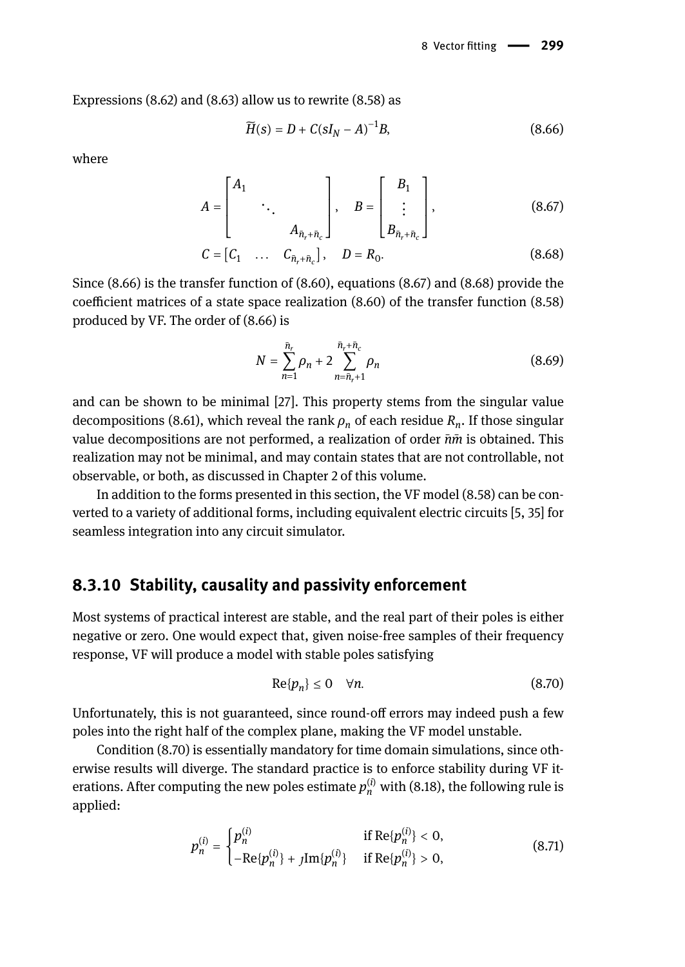Expressions (8.62) and (8.63) allow us to rewrite (8.58) as

$$
\widetilde{H}(s) = D + C(sI_N - A)^{-1}B,\tag{8.66}
$$

where

$$
A = \begin{bmatrix} A_1 & & \\ & \ddots & \\ & & A_{\bar{n}_r + \bar{n}_c} \end{bmatrix}, \quad B = \begin{bmatrix} B_1 \\ \vdots \\ B_{\bar{n}_r + \bar{n}_c} \end{bmatrix}, \tag{8.67}
$$

$$
C = [C_1 \quad \dots \quad C_{\bar{n}_r + \bar{n}_c}], \quad D = R_0. \tag{8.68}
$$

Since (8.66) is the transfer function of (8.60), equations (8.67) and (8.68) provide the coefficient matrices of a state space realization (8.60) of the transfer function (8.58) produced by VF. The order of (8.66) is

$$
N = \sum_{n=1}^{\bar{n}_r} \rho_n + 2 \sum_{n=\bar{n}_r+1}^{\bar{n}_r+\bar{n}_c} \rho_n
$$
 (8.69)

and can be shown to be minimal [27]. This property stems from the singular value decompositions (8.61), which reveal the rank *ρ<sup>n</sup>* of each residue *R<sup>n</sup>* . If those singular value decompositions are not performed, a realization of order *n*̄*m*̄ is obtained. This realization may not be minimal, and may contain states that are not controllable, not observable, or both, as discussed in Chapter 2 of this volume.

In addition to the forms presented in this section, the VF model (8.58) can be converted to a variety of additional forms, including equivalent electric circuits [5, 35] for seamless integration into any circuit simulator.

#### **8.3.10 Stability, causality and passivity enforcement**

Most systems of practical interest are stable, and the real part of their poles is either negative or zero. One would expect that, given noise-free samples of their frequency response, VF will produce a model with stable poles satisfying

$$
\text{Re}\{p_n\} \le 0 \quad \forall n. \tag{8.70}
$$

Unfortunately, this is not guaranteed, since round-off errors may indeed push a few poles into the right half of the complex plane, making the VF model unstable.

Condition (8.70) is essentially mandatory for time domain simulations, since otherwise results will diverge. The standard practice is to enforce stability during VF iterations. After computing the new poles estimate  $p_n^{(i)}$  with (8.18), the following rule is applied:

$$
p_n^{(i)} = \begin{cases} p_n^{(i)} & \text{if } \text{Re}\{p_n^{(i)}\} < 0, \\ -\text{Re}\{p_n^{(i)}\} + j\text{Im}\{p_n^{(i)}\} & \text{if } \text{Re}\{p_n^{(i)}\} > 0, \end{cases} \tag{8.71}
$$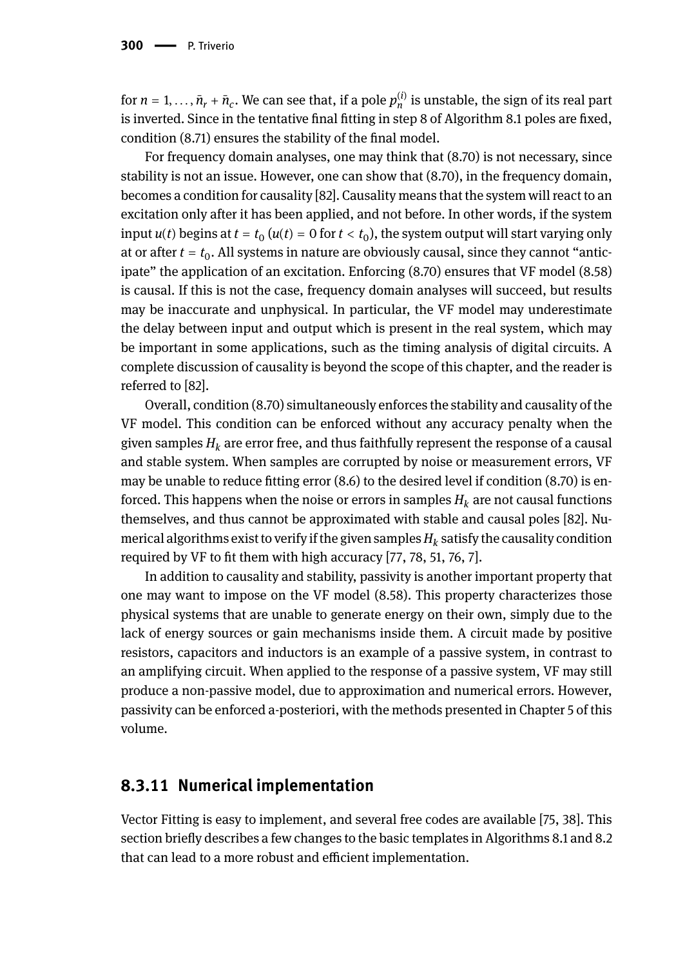for  $n = 1, ..., \bar{n}_r + \bar{n}_c$ . We can see that, if a pole  $p_n^{(i)}$  is unstable, the sign of its real part is inverted. Since in the tentative final fitting in step 8 of Algorithm 8.1 poles are fixed, condition (8.71) ensures the stability of the final model.

For frequency domain analyses, one may think that (8.70) is not necessary, since stability is not an issue. However, one can show that (8.70), in the frequency domain, becomes a condition for causality [82]. Causality means that the system will react to an excitation only after it has been applied, and not before. In other words, if the system input  $u(t)$  begins at  $t = t_0$  ( $u(t) = 0$  for  $t < t_0$ ), the system output will start varying only at or after  $t = t_0$ . All systems in nature are obviously causal, since they cannot "anticipate" the application of an excitation. Enforcing (8.70) ensures that VF model (8.58) is causal. If this is not the case, frequency domain analyses will succeed, but results may be inaccurate and unphysical. In particular, the VF model may underestimate the delay between input and output which is present in the real system, which may be important in some applications, such as the timing analysis of digital circuits. A complete discussion of causality is beyond the scope of this chapter, and the reader is referred to [82].

Overall, condition (8.70) simultaneously enforces the stability and causality of the VF model. This condition can be enforced without any accuracy penalty when the given samples  $H_k$  are error free, and thus faithfully represent the response of a causal and stable system. When samples are corrupted by noise or measurement errors, VF may be unable to reduce fitting error (8.6) to the desired level if condition (8.70) is enforced. This happens when the noise or errors in samples  $H_k$  are not causal functions themselves, and thus cannot be approximated with stable and causal poles [82]. Numerical algorithms exist to verify if the given samples*H<sup>k</sup>* satisfy the causality condition required by VF to fit them with high accuracy [77, 78, 51, 76, 7].

In addition to causality and stability, passivity is another important property that one may want to impose on the VF model (8.58). This property characterizes those physical systems that are unable to generate energy on their own, simply due to the lack of energy sources or gain mechanisms inside them. A circuit made by positive resistors, capacitors and inductors is an example of a passive system, in contrast to an amplifying circuit. When applied to the response of a passive system, VF may still produce a non-passive model, due to approximation and numerical errors. However, passivity can be enforced a-posteriori, with the methods presented in Chapter 5 of this volume.

## **8.3.11 Numerical implementation**

Vector Fitting is easy to implement, and several free codes are available [75, 38]. This section briefly describes a few changes to the basic templates in Algorithms 8.1 and 8.2 that can lead to a more robust and efficient implementation.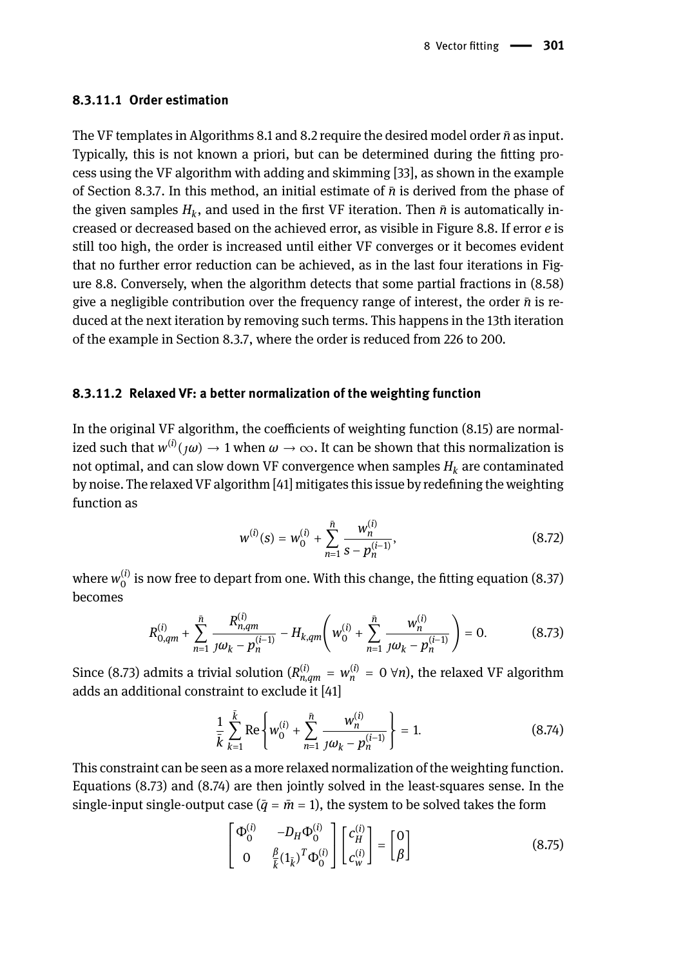#### **8.3.11.1 Order estimation**

The VF templates in Algorithms 8.1 and 8.2 require the desired model order *n*̄as input. Typically, this is not known a priori, but can be determined during the fitting process using the VF algorithm with adding and skimming [33], as shown in the example of Section 8.3.7. In this method, an initial estimate of *n*̄is derived from the phase of the given samples  $H_k$ , and used in the first VF iteration. Then  $\bar{n}$  is automatically increased or decreased based on the achieved error, as visible in Figure 8.8. If error *e* is still too high, the order is increased until either VF converges or it becomes evident that no further error reduction can be achieved, as in the last four iterations in Figure 8.8. Conversely, when the algorithm detects that some partial fractions in (8.58) give a negligible contribution over the frequency range of interest, the order  $\bar{n}$  is reduced at the next iteration by removing such terms. This happens in the 13th iteration of the example in Section 8.3.7, where the order is reduced from 226 to 200.

#### **8.3.11.2 Relaxed VF: a better normalization of the weighting function**

In the original VF algorithm, the coefficients of weighting function (8.15) are normalized such that  $w^{(i)}(j\omega) \to 1$  when  $\omega \to \infty$ . It can be shown that this normalization is not optimal, and can slow down VF convergence when samples  $H_k$  are contaminated by noise. The relaxed VF algorithm [41] mitigates this issue by redefining the weighting function as

$$
w^{(i)}(s) = w_0^{(i)} + \sum_{n=1}^{\bar{n}} \frac{w_n^{(i)}}{s - p_n^{(i-1)}},
$$
\n(8.72)

where  $w_0^{(i)}$  is now free to depart from one. With this change, the fitting equation (8.37) becomes

$$
R_{0,qm}^{(i)} + \sum_{n=1}^{\bar{n}} \frac{R_{n,qm}^{(i)}}{j\omega_k - p_n^{(i-1)}} - H_{k,qm} \left( w_0^{(i)} + \sum_{n=1}^{\bar{n}} \frac{w_n^{(i)}}{j\omega_k - p_n^{(i-1)}} \right) = 0.
$$
 (8.73)

Since (8.73) admits a trivial solution ( $R_{n,qm}^{(i)} = w_n^{(i)} = 0 \ \forall n$ ), the relaxed VF algorithm adds an additional constraint to exclude it [41]

$$
\frac{1}{\bar{k}}\sum_{k=1}^{\bar{k}}\text{Re}\left\{w_0^{(i)} + \sum_{n=1}^{\bar{n}}\frac{w_n^{(i)}}{jw_k - p_n^{(i-1)}}\right\} = 1.
$$
\n(8.74)

This constraint can be seen as a more relaxed normalization of the weighting function. Equations (8.73) and (8.74) are then jointly solved in the least-squares sense. In the single-input single-output case ( $\bar{q} = \bar{m} = 1$ ), the system to be solved takes the form

$$
\begin{bmatrix} \Phi_0^{(i)} & -D_H \Phi_0^{(i)} \\ 0 & \frac{\beta}{k} (\mathbf{1}_{\bar{k}})^T \Phi_0^{(i)} \end{bmatrix} \begin{bmatrix} c_H^{(i)} \\ c_w^{(i)} \end{bmatrix} = \begin{bmatrix} 0 \\ \beta \end{bmatrix}
$$
(8.75)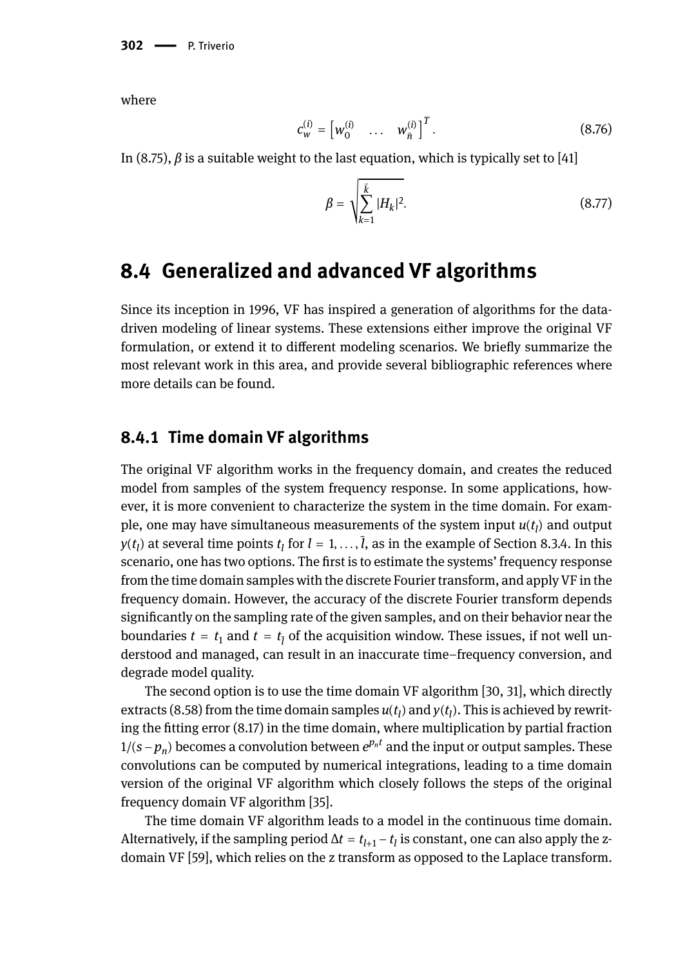where

$$
c_{w}^{(i)} = \begin{bmatrix} w_0^{(i)} & \dots & w_{\bar{n}}^{(i)} \end{bmatrix}^T.
$$
 (8.76)

In (8.75),  $\beta$  is a suitable weight to the last equation, which is typically set to [41]

$$
\beta = \sqrt{\sum_{k=1}^{\bar{k}} |H_k|^2}.
$$
\n(8.77)

## **8.4 Generalized and advanced VF algorithms**

Since its inception in 1996, VF has inspired a generation of algorithms for the datadriven modeling of linear systems. These extensions either improve the original VF formulation, or extend it to different modeling scenarios. We briefly summarize the most relevant work in this area, and provide several bibliographic references where more details can be found.

### **8.4.1 Time domain VF algorithms**

The original VF algorithm works in the frequency domain, and creates the reduced model from samples of the system frequency response. In some applications, however, it is more convenient to characterize the system in the time domain. For example, one may have simultaneous measurements of the system input  $u(t_l)$  and output  $y(t_l)$  at several time points  $t_l$  for  $l = 1, \ldots, l$ , as in the example of Section 8.3.4. In this scenario, one has two options. The first is to estimate the systems' frequency response from the time domain samples with the discrete Fourier transform, and apply VF in the frequency domain. However, the accuracy of the discrete Fourier transform depends significantly on the sampling rate of the given samples, and on their behavior near the boundaries  $t=t_1$  and  $t=t_{\overline l}$  of the acquisition window. These issues, if not well understood and managed, can result in an inaccurate time–frequency conversion, and degrade model quality.

The second option is to use the time domain VF algorithm [30, 31], which directly extracts (8.58) from the time domain samples  $u(t_l)$  and  $y(t_l)$ . This is achieved by rewriting the fitting error (8.17) in the time domain, where multiplication by partial fraction 1/(*s* − *p*<sub>*n*</sub>)</sub> becomes a convolution between  $e^{p_n t}$  and the input or output samples. These convolutions can be computed by numerical integrations, leading to a time domain version of the original VF algorithm which closely follows the steps of the original frequency domain VF algorithm [35].

The time domain VF algorithm leads to a model in the continuous time domain. Alternatively, if the sampling period  $\Delta t = t_{l+1} - t_l$  is constant, one can also apply the zdomain VF [59], which relies on the z transform as opposed to the Laplace transform.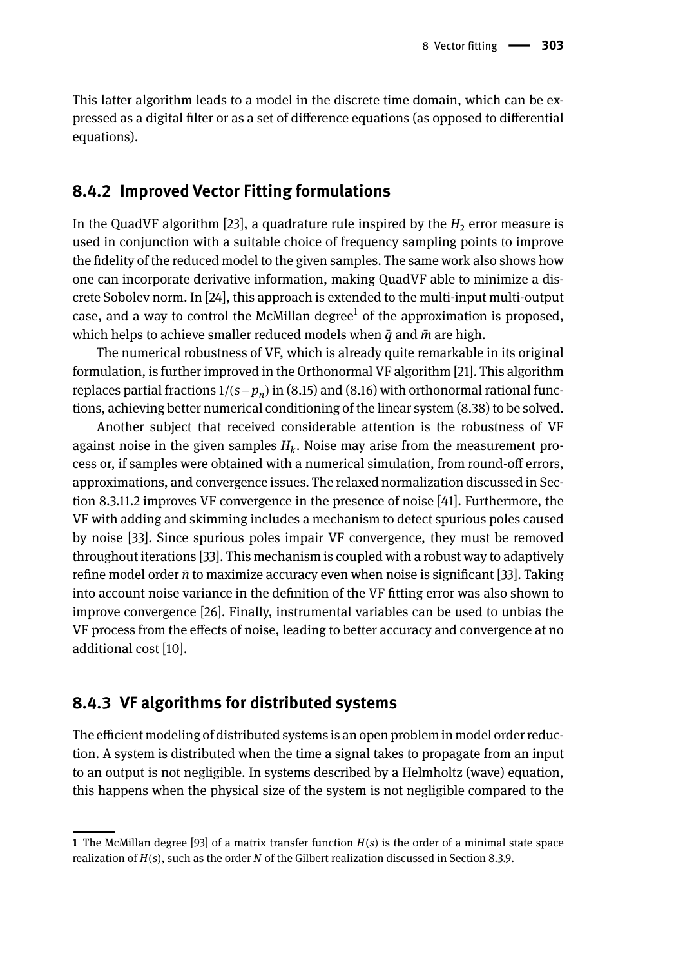This latter algorithm leads to a model in the discrete time domain, which can be expressed as a digital filter or as a set of difference equations (as opposed to differential equations).

#### **8.4.2 Improved Vector Fitting formulations**

In the QuadVF algorithm [23], a quadrature rule inspired by the  $H<sub>2</sub>$  error measure is used in conjunction with a suitable choice of frequency sampling points to improve the fidelity of the reduced model to the given samples. The same work also shows how one can incorporate derivative information, making QuadVF able to minimize a discrete Sobolev norm. In [24], this approach is extended to the multi-input multi-output case, and a way to control the McMillan degree $^{\rm 1}$  of the approximation is proposed, which helps to achieve smaller reduced models when  $\bar{q}$  and  $\bar{m}$  are high.

The numerical robustness of VF, which is already quite remarkable in its original formulation, is further improved in the Orthonormal VF algorithm [21]. This algorithm replaces partial fractions 1/(*s*−*p<sup>n</sup>* ) in (8.15) and (8.16) with orthonormal rational functions, achieving better numerical conditioning of the linear system (8.38) to be solved.

Another subject that received considerable attention is the robustness of VF against noise in the given samples *H<sup>k</sup>* . Noise may arise from the measurement process or, if samples were obtained with a numerical simulation, from round-off errors, approximations, and convergence issues. The relaxed normalization discussed in Section 8.3.11.2 improves VF convergence in the presence of noise [41]. Furthermore, the VF with adding and skimming includes a mechanism to detect spurious poles caused by noise [33]. Since spurious poles impair VF convergence, they must be removed throughout iterations [33]. This mechanism is coupled with a robust way to adaptively refine model order *n*̄to maximize accuracy even when noise is significant [33]. Taking into account noise variance in the definition of the VF fitting error was also shown to improve convergence [26]. Finally, instrumental variables can be used to unbias the VF process from the effects of noise, leading to better accuracy and convergence at no additional cost [10].

### **8.4.3 VF algorithms for distributed systems**

The efficient modeling of distributed systems is an open problem in model order reduction. A system is distributed when the time a signal takes to propagate from an input to an output is not negligible. In systems described by a Helmholtz (wave) equation, this happens when the physical size of the system is not negligible compared to the

**<sup>1</sup>** The McMillan degree [93] of a matrix transfer function *H*(*s*) is the order of a minimal state space realization of *H*(*s*), such as the order *N* of the Gilbert realization discussed in Section 8.3.9.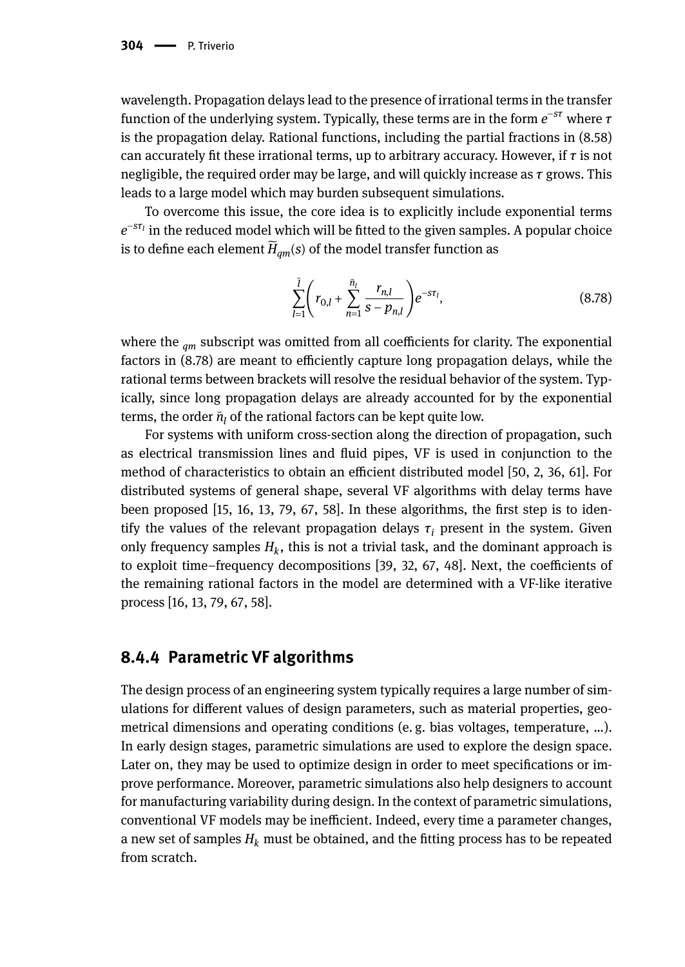wavelength. Propagation delays lead to the presence of irrational terms in the transfer function of the underlying system. Typically, these terms are in the form *e* <sup>−</sup>*sτ* where *τ* is the propagation delay. Rational functions, including the partial fractions in (8.58) can accurately fit these irrational terms, up to arbitrary accuracy. However, if *τ* is not negligible, the required order may be large, and will quickly increase as *τ* grows. This leads to a large model which may burden subsequent simulations.

To overcome this issue, the core idea is to explicitly include exponential terms *e* −*sτ<sup>l</sup>* in the reduced model which will be fitted to the given samples. A popular choice is to define each element  $\widetilde{H}_{\alpha m}(s)$  of the model transfer function as

$$
\sum_{l=1}^{\bar{l}} \left( r_{0,l} + \sum_{n=1}^{\bar{n}_l} \frac{r_{n,l}}{s - p_{n,l}} \right) e^{-s\tau_l},\tag{8.78}
$$

where the <sub>am</sub> subscript was omitted from all coefficients for clarity. The exponential factors in (8.78) are meant to efficiently capture long propagation delays, while the rational terms between brackets will resolve the residual behavior of the system. Typically, since long propagation delays are already accounted for by the exponential terms, the order  $\bar{n}_l$  of the rational factors can be kept quite low.

For systems with uniform cross-section along the direction of propagation, such as electrical transmission lines and fluid pipes, VF is used in conjunction to the method of characteristics to obtain an efficient distributed model [50, 2, 36, 61]. For distributed systems of general shape, several VF algorithms with delay terms have been proposed [15, 16, 13, 79, 67, 58]. In these algorithms, the first step is to identify the values of the relevant propagation delays  $\tau_i$  present in the system. Given only frequency samples  $H_k$ , this is not a trivial task, and the dominant approach is to exploit time–frequency decompositions [39, 32, 67, 48]. Next, the coefficients of the remaining rational factors in the model are determined with a VF-like iterative process [16, 13, 79, 67, 58].

### **8.4.4 Parametric VF algorithms**

The design process of an engineering system typically requires a large number of simulations for different values of design parameters, such as material properties, geometrical dimensions and operating conditions (e. g. bias voltages, temperature, …). In early design stages, parametric simulations are used to explore the design space. Later on, they may be used to optimize design in order to meet specifications or improve performance. Moreover, parametric simulations also help designers to account for manufacturing variability during design. In the context of parametric simulations, conventional VF models may be inefficient. Indeed, every time a parameter changes, a new set of samples  $H_k$  must be obtained, and the fitting process has to be repeated from scratch.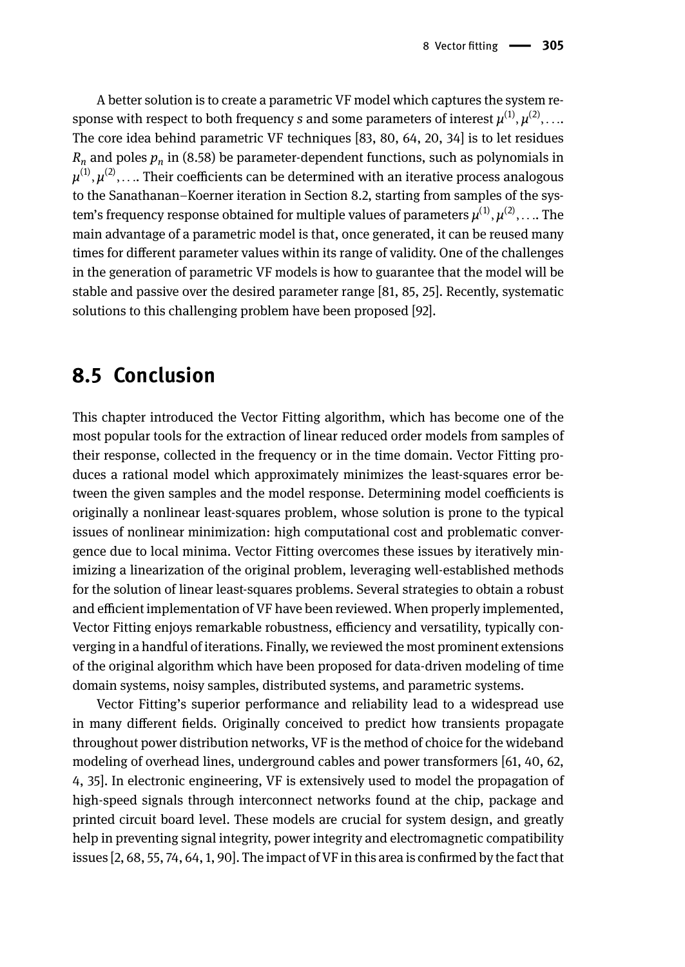A better solution is to create a parametric VF model which captures the system response with respect to both frequency *s* and some parameters of interest  $\mu^{(1)}, \mu^{(2)}, \ldots$ The core idea behind parametric VF techniques [83, 80, 64, 20, 34] is to let residues  $R_n$  and poles  $p_n$  in (8.58) be parameter-dependent functions, such as polynomials in  $\mu^{(1)},\mu^{(2)},\ldots$  Their coefficients can be determined with an iterative process analogous to the Sanathanan–Koerner iteration in Section 8.2, starting from samples of the system's frequency response obtained for multiple values of parameters  $μ^{(1)}, μ^{(2)}, \ldots$  The main advantage of a parametric model is that, once generated, it can be reused many times for different parameter values within its range of validity. One of the challenges in the generation of parametric VF models is how to guarantee that the model will be stable and passive over the desired parameter range [81, 85, 25]. Recently, systematic solutions to this challenging problem have been proposed [92].

## **8.5 Conclusion**

This chapter introduced the Vector Fitting algorithm, which has become one of the most popular tools for the extraction of linear reduced order models from samples of their response, collected in the frequency or in the time domain. Vector Fitting produces a rational model which approximately minimizes the least-squares error between the given samples and the model response. Determining model coefficients is originally a nonlinear least-squares problem, whose solution is prone to the typical issues of nonlinear minimization: high computational cost and problematic convergence due to local minima. Vector Fitting overcomes these issues by iteratively minimizing a linearization of the original problem, leveraging well-established methods for the solution of linear least-squares problems. Several strategies to obtain a robust and efficient implementation of VF have been reviewed. When properly implemented, Vector Fitting enjoys remarkable robustness, efficiency and versatility, typically converging in a handful of iterations. Finally, we reviewed the most prominent extensions of the original algorithm which have been proposed for data-driven modeling of time domain systems, noisy samples, distributed systems, and parametric systems.

Vector Fitting's superior performance and reliability lead to a widespread use in many different fields. Originally conceived to predict how transients propagate throughout power distribution networks, VF is the method of choice for the wideband modeling of overhead lines, underground cables and power transformers [61, 40, 62, 4, 35]. In electronic engineering, VF is extensively used to model the propagation of high-speed signals through interconnect networks found at the chip, package and printed circuit board level. These models are crucial for system design, and greatly help in preventing signal integrity, power integrity and electromagnetic compatibility issues [2, 68, 55, 74, 64, 1, 90]. The impact of VF in this area is confirmed by the fact that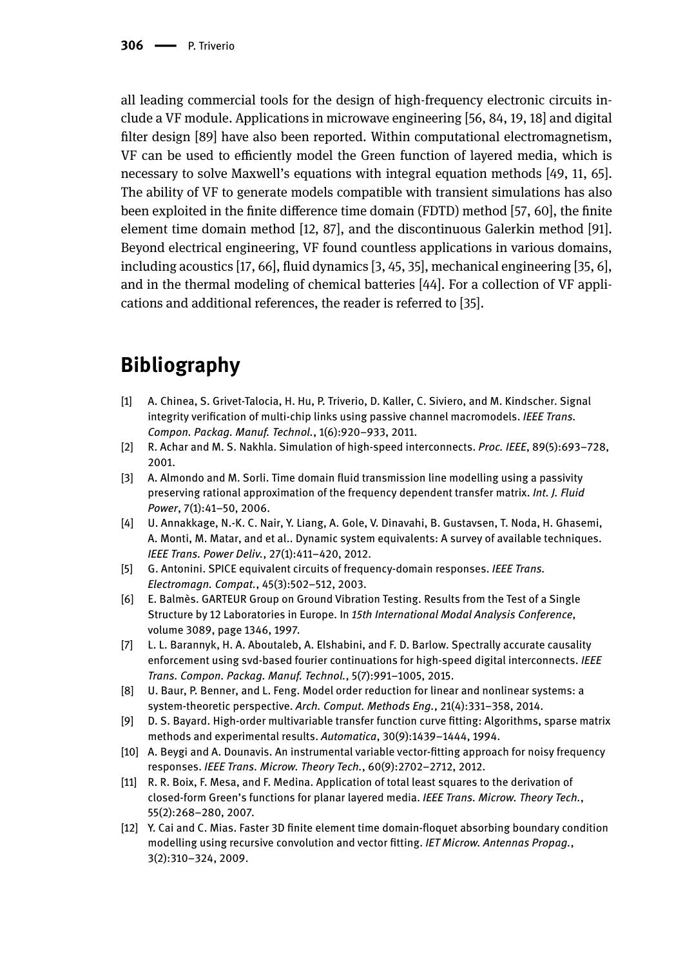all leading commercial tools for the design of high-frequency electronic circuits include a VF module. Applications in microwave engineering [56, 84, 19, 18] and digital filter design [89] have also been reported. Within computational electromagnetism, VF can be used to efficiently model the Green function of layered media, which is necessary to solve Maxwell's equations with integral equation methods [49, 11, 65]. The ability of VF to generate models compatible with transient simulations has also been exploited in the finite difference time domain (FDTD) method [57, 60], the finite element time domain method [12, 87], and the discontinuous Galerkin method [91]. Beyond electrical engineering, VF found countless applications in various domains, including acoustics [17, 66], fluid dynamics [3, 45, 35], mechanical engineering [35, 6], and in the thermal modeling of chemical batteries [44]. For a collection of VF applications and additional references, the reader is referred to [35].

# **Bibliography**

- [1] A. Chinea, S. Grivet-Talocia, H. Hu, P. Triverio, D. Kaller, C. Siviero, and M. Kindscher. Signal integrity verification of multi-chip links using passive channel macromodels. *IEEE Trans. Compon. Packag. Manuf. Technol.*, 1(6):920–933, 2011.
- [2] R. Achar and M. S. Nakhla. Simulation of high-speed interconnects. *Proc. IEEE*, 89(5):693–728, 2001.
- [3] A. Almondo and M. Sorli. Time domain fluid transmission line modelling using a passivity preserving rational approximation of the frequency dependent transfer matrix. *Int. J. Fluid Power*, 7(1):41–50, 2006.
- [4] U. Annakkage, N.-K. C. Nair, Y. Liang, A. Gole, V. Dinavahi, B. Gustavsen, T. Noda, H. Ghasemi, A. Monti, M. Matar, and et al.. Dynamic system equivalents: A survey of available techniques. *IEEE Trans. Power Deliv.*, 27(1):411–420, 2012.
- [5] G. Antonini. SPICE equivalent circuits of frequency-domain responses. *IEEE Trans. Electromagn. Compat.*, 45(3):502–512, 2003.
- [6] E. Balmès. GARTEUR Group on Ground Vibration Testing. Results from the Test of a Single Structure by 12 Laboratories in Europe. In *15th International Modal Analysis Conference*, volume 3089, page 1346, 1997.
- [7] L. L. Barannyk, H. A. Aboutaleb, A. Elshabini, and F. D. Barlow. Spectrally accurate causality enforcement using svd-based fourier continuations for high-speed digital interconnects. *IEEE Trans. Compon. Packag. Manuf. Technol.*, 5(7):991–1005, 2015.
- [8] U. Baur, P. Benner, and L. Feng. Model order reduction for linear and nonlinear systems: a system-theoretic perspective. *Arch. Comput. Methods Eng.*, 21(4):331–358, 2014.
- [9] D. S. Bayard. High-order multivariable transfer function curve fitting: Algorithms, sparse matrix methods and experimental results. *Automatica*, 30(9):1439–1444, 1994.
- [10] A. Beygi and A. Dounavis. An instrumental variable vector-fitting approach for noisy frequency responses. *IEEE Trans. Microw. Theory Tech.*, 60(9):2702–2712, 2012.
- [11] R. R. Boix, F. Mesa, and F. Medina. Application of total least squares to the derivation of closed-form Green's functions for planar layered media. *IEEE Trans. Microw. Theory Tech.*, 55(2):268–280, 2007.
- [12] Y. Cai and C. Mias. Faster 3D finite element time domain-floquet absorbing boundary condition modelling using recursive convolution and vector fitting. *IET Microw. Antennas Propag.*, 3(2):310–324, 2009.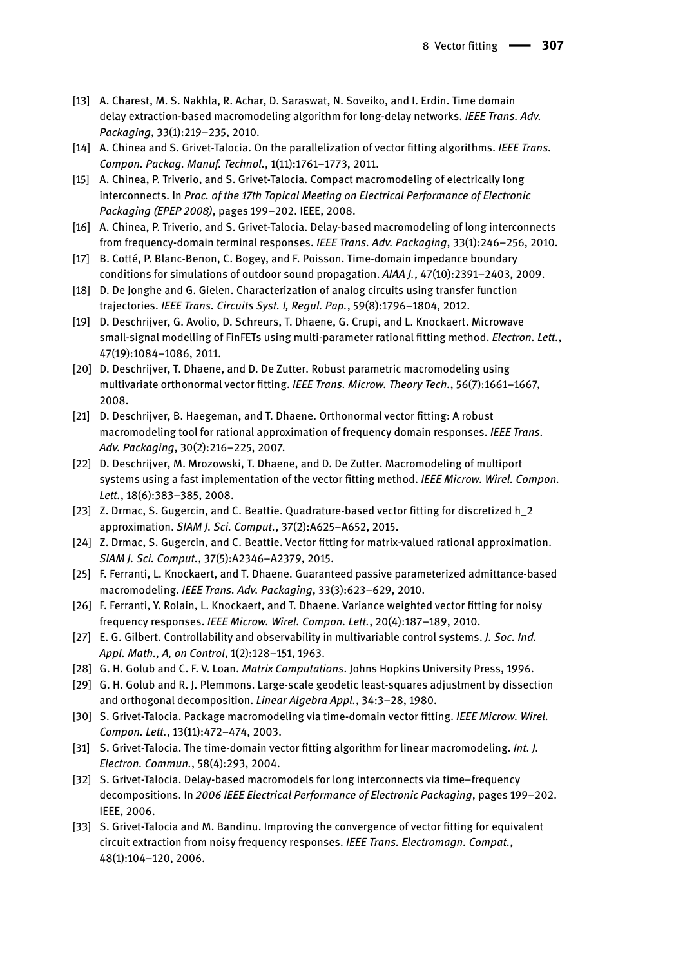- [13] A. Charest, M. S. Nakhla, R. Achar, D. Saraswat, N. Soveiko, and I. Erdin. Time domain delay extraction-based macromodeling algorithm for long-delay networks. *IEEE Trans. Adv. Packaging*, 33(1):219–235, 2010.
- [14] A. Chinea and S. Grivet-Talocia. On the parallelization of vector fitting algorithms. *IEEE Trans. Compon. Packag. Manuf. Technol.*, 1(11):1761–1773, 2011.
- [15] A. Chinea, P. Triverio, and S. Grivet-Talocia. Compact macromodeling of electrically long interconnects. In *Proc. of the 17th Topical Meeting on Electrical Performance of Electronic Packaging (EPEP 2008)*, pages 199–202. IEEE, 2008.
- [16] A. Chinea, P. Triverio, and S. Grivet-Talocia. Delay-based macromodeling of long interconnects from frequency-domain terminal responses. *IEEE Trans. Adv. Packaging*, 33(1):246–256, 2010.
- [17] B. Cotté, P. Blanc-Benon, C. Bogey, and F. Poisson. Time-domain impedance boundary conditions for simulations of outdoor sound propagation. *AIAA J.*, 47(10):2391–2403, 2009.
- [18] D. De Jonghe and G. Gielen. Characterization of analog circuits using transfer function trajectories. *IEEE Trans. Circuits Syst. I, Regul. Pap.*, 59(8):1796–1804, 2012.
- [19] D. Deschrijver, G. Avolio, D. Schreurs, T. Dhaene, G. Crupi, and L. Knockaert. Microwave small-signal modelling of FinFETs using multi-parameter rational fitting method. *Electron. Lett.*, 47(19):1084–1086, 2011.
- [20] D. Deschrijver, T. Dhaene, and D. De Zutter. Robust parametric macromodeling using multivariate orthonormal vector fitting. *IEEE Trans. Microw. Theory Tech.*, 56(7):1661–1667, 2008.
- [21] D. Deschrijver, B. Haegeman, and T. Dhaene. Orthonormal vector fitting: A robust macromodeling tool for rational approximation of frequency domain responses. *IEEE Trans. Adv. Packaging*, 30(2):216–225, 2007.
- [22] D. Deschrijver, M. Mrozowski, T. Dhaene, and D. De Zutter. Macromodeling of multiport systems using a fast implementation of the vector fitting method. *IEEE Microw. Wirel. Compon. Lett.*, 18(6):383–385, 2008.
- [23] Z. Drmac, S. Gugercin, and C. Beattie. Quadrature-based vector fitting for discretized h\_2 approximation. *SIAM J. Sci. Comput.*, 37(2):A625–A652, 2015.
- [24] Z. Drmac, S. Gugercin, and C. Beattie. Vector fitting for matrix-valued rational approximation. *SIAM J. Sci. Comput.*, 37(5):A2346–A2379, 2015.
- [25] F. Ferranti, L. Knockaert, and T. Dhaene. Guaranteed passive parameterized admittance-based macromodeling. *IEEE Trans. Adv. Packaging*, 33(3):623–629, 2010.
- [26] F. Ferranti, Y. Rolain, L. Knockaert, and T. Dhaene. Variance weighted vector fitting for noisy frequency responses. *IEEE Microw. Wirel. Compon. Lett.*, 20(4):187–189, 2010.
- [27] E. G. Gilbert. Controllability and observability in multivariable control systems. *J. Soc. Ind. Appl. Math., A, on Control*, 1(2):128–151, 1963.
- [28] G. H. Golub and C. F. V. Loan. *Matrix Computations*. Johns Hopkins University Press, 1996.
- [29] G. H. Golub and R. J. Plemmons. Large-scale geodetic least-squares adjustment by dissection and orthogonal decomposition. *Linear Algebra Appl.*, 34:3–28, 1980.
- [30] S. Grivet-Talocia. Package macromodeling via time-domain vector fitting. *IEEE Microw. Wirel. Compon. Lett.*, 13(11):472–474, 2003.
- [31] S. Grivet-Talocia. The time-domain vector fitting algorithm for linear macromodeling. *Int. J. Electron. Commun.*, 58(4):293, 2004.
- [32] S. Grivet-Talocia. Delay-based macromodels for long interconnects via time–frequency decompositions. In *2006 IEEE Electrical Performance of Electronic Packaging*, pages 199–202. IEEE, 2006.
- [33] S. Grivet-Talocia and M. Bandinu. Improving the convergence of vector fitting for equivalent circuit extraction from noisy frequency responses. *IEEE Trans. Electromagn. Compat.*, 48(1):104–120, 2006.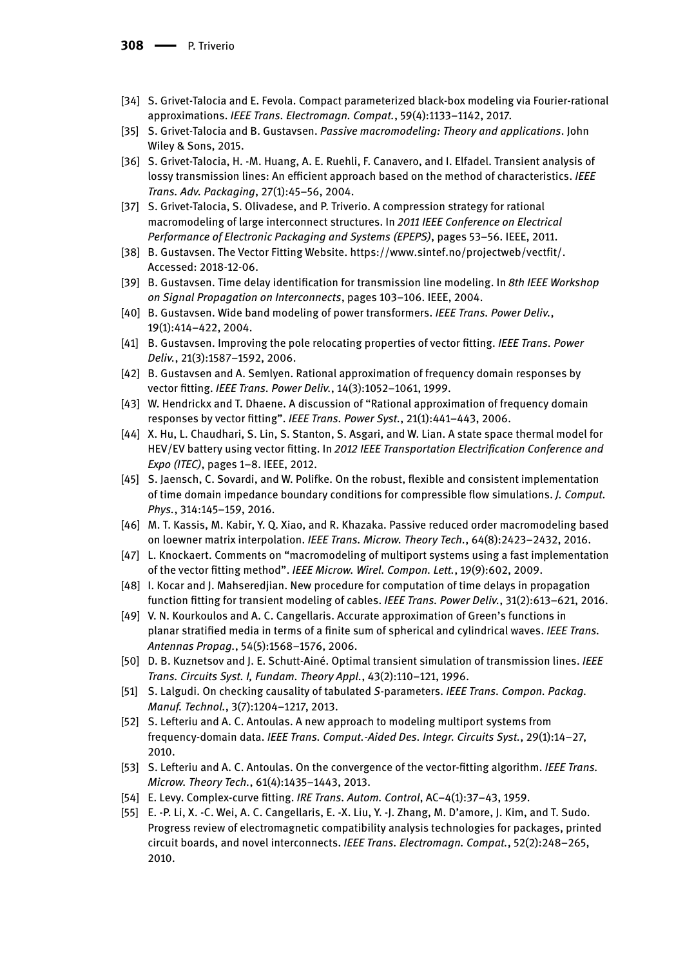- [34] S. Grivet-Talocia and E. Fevola. Compact parameterized black-box modeling via Fourier-rational approximations. *IEEE Trans. Electromagn. Compat.*, 59(4):1133–1142, 2017.
- [35] S. Grivet-Talocia and B. Gustavsen. *Passive macromodeling: Theory and applications*. John Wiley & Sons, 2015.
- [36] S. Grivet-Talocia, H. -M. Huang, A. E. Ruehli, F. Canavero, and I. Elfadel. Transient analysis of lossy transmission lines: An efficient approach based on the method of characteristics. *IEEE Trans. Adv. Packaging*, 27(1):45–56, 2004.
- [37] S. Grivet-Talocia, S. Olivadese, and P. Triverio. A compression strategy for rational macromodeling of large interconnect structures. In *2011 IEEE Conference on Electrical Performance of Electronic Packaging and Systems (EPEPS)*, pages 53–56. IEEE, 2011.
- [38] B. Gustavsen. The Vector Fitting Website. https://www.sintef.no/projectweb/vectfit/. Accessed: 2018-12-06.
- [39] B. Gustavsen. Time delay identification for transmission line modeling. In *8th IEEE Workshop on Signal Propagation on Interconnects*, pages 103–106. IEEE, 2004.
- [40] B. Gustavsen. Wide band modeling of power transformers. *IEEE Trans. Power Deliv.*, 19(1):414–422, 2004.
- [41] B. Gustavsen. Improving the pole relocating properties of vector fitting. *IEEE Trans. Power Deliv.*, 21(3):1587–1592, 2006.
- [42] B. Gustavsen and A. Semlyen. Rational approximation of frequency domain responses by vector fitting. *IEEE Trans. Power Deliv.*, 14(3):1052–1061, 1999.
- [43] W. Hendrickx and T. Dhaene. A discussion of "Rational approximation of frequency domain responses by vector fitting". *IEEE Trans. Power Syst.*, 21(1):441–443, 2006.
- [44] X. Hu, L. Chaudhari, S. Lin, S. Stanton, S. Asgari, and W. Lian. A state space thermal model for HEV/EV battery using vector fitting. In *2012 IEEE Transportation Electrification Conference and Expo (ITEC)*, pages 1–8. IEEE, 2012.
- [45] S. Jaensch, C. Sovardi, and W. Polifke. On the robust, flexible and consistent implementation of time domain impedance boundary conditions for compressible flow simulations. *J. Comput. Phys.*, 314:145–159, 2016.
- [46] M. T. Kassis, M. Kabir, Y. Q. Xiao, and R. Khazaka. Passive reduced order macromodeling based on loewner matrix interpolation. *IEEE Trans. Microw. Theory Tech.*, 64(8):2423–2432, 2016.
- [47] L. Knockaert. Comments on "macromodeling of multiport systems using a fast implementation of the vector fitting method". *IEEE Microw. Wirel. Compon. Lett.*, 19(9):602, 2009.
- [48] I. Kocar and J. Mahseredjian. New procedure for computation of time delays in propagation function fitting for transient modeling of cables. *IEEE Trans. Power Deliv.*, 31(2):613–621, 2016.
- [49] V. N. Kourkoulos and A. C. Cangellaris. Accurate approximation of Green's functions in planar stratified media in terms of a finite sum of spherical and cylindrical waves. *IEEE Trans. Antennas Propag.*, 54(5):1568–1576, 2006.
- [50] D. B. Kuznetsov and J. E. Schutt-Ainé. Optimal transient simulation of transmission lines. *IEEE Trans. Circuits Syst. I, Fundam. Theory Appl.*, 43(2):110–121, 1996.
- [51] S. Lalgudi. On checking causality of tabulated *S*-parameters. *IEEE Trans. Compon. Packag. Manuf. Technol.*, 3(7):1204–1217, 2013.
- [52] S. Lefteriu and A. C. Antoulas. A new approach to modeling multiport systems from frequency-domain data. *IEEE Trans. Comput.-Aided Des. Integr. Circuits Syst.*, 29(1):14–27, 2010.
- [53] S. Lefteriu and A. C. Antoulas. On the convergence of the vector-fitting algorithm. *IEEE Trans. Microw. Theory Tech.*, 61(4):1435–1443, 2013.
- [54] E. Levy. Complex-curve fitting. *IRE Trans. Autom. Control*, AC–4(1):37–43, 1959.
- [55] E. -P. Li, X. -C. Wei, A. C. Cangellaris, E. -X. Liu, Y. -J. Zhang, M. D'amore, J. Kim, and T. Sudo. Progress review of electromagnetic compatibility analysis technologies for packages, printed circuit boards, and novel interconnects. *IEEE Trans. Electromagn. Compat.*, 52(2):248–265, 2010.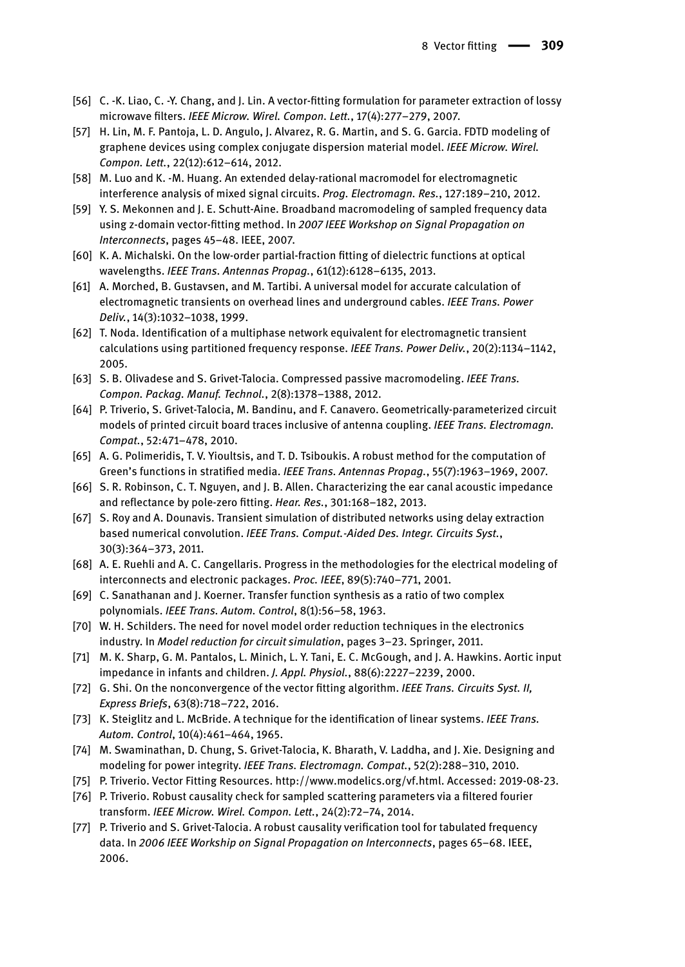- [56] C. -K. Liao, C. -Y. Chang, and J. Lin. A vector-fitting formulation for parameter extraction of lossy microwave filters. *IEEE Microw. Wirel. Compon. Lett.*, 17(4):277–279, 2007.
- [57] H. Lin, M. F. Pantoja, L. D. Angulo, J. Alvarez, R. G. Martin, and S. G. Garcia. FDTD modeling of graphene devices using complex conjugate dispersion material model. *IEEE Microw. Wirel. Compon. Lett.*, 22(12):612–614, 2012.
- [58] M. Luo and K. -M. Huang. An extended delay-rational macromodel for electromagnetic interference analysis of mixed signal circuits. *Prog. Electromagn. Res.*, 127:189–210, 2012.
- [59] Y. S. Mekonnen and J. E. Schutt-Aine. Broadband macromodeling of sampled frequency data using z-domain vector-fitting method. In *2007 IEEE Workshop on Signal Propagation on Interconnects*, pages 45–48. IEEE, 2007.
- [60] K. A. Michalski. On the low-order partial-fraction fitting of dielectric functions at optical wavelengths. *IEEE Trans. Antennas Propag.*, 61(12):6128–6135, 2013.
- [61] A. Morched, B. Gustavsen, and M. Tartibi. A universal model for accurate calculation of electromagnetic transients on overhead lines and underground cables. *IEEE Trans. Power Deliv.*, 14(3):1032–1038, 1999.
- [62] T. Noda. Identification of a multiphase network equivalent for electromagnetic transient calculations using partitioned frequency response. *IEEE Trans. Power Deliv.*, 20(2):1134–1142, 2005.
- [63] S. B. Olivadese and S. Grivet-Talocia. Compressed passive macromodeling. *IEEE Trans. Compon. Packag. Manuf. Technol.*, 2(8):1378–1388, 2012.
- [64] P. Triverio, S. Grivet-Talocia, M. Bandinu, and F. Canavero. Geometrically-parameterized circuit models of printed circuit board traces inclusive of antenna coupling. *IEEE Trans. Electromagn. Compat.*, 52:471–478, 2010.
- [65] A. G. Polimeridis, T. V. Yioultsis, and T. D. Tsiboukis. A robust method for the computation of Green's functions in stratified media. *IEEE Trans. Antennas Propag.*, 55(7):1963–1969, 2007.
- [66] S. R. Robinson, C. T. Nguyen, and J. B. Allen. Characterizing the ear canal acoustic impedance and reflectance by pole-zero fitting. *Hear. Res.*, 301:168–182, 2013.
- [67] S. Roy and A. Dounavis. Transient simulation of distributed networks using delay extraction based numerical convolution. *IEEE Trans. Comput.-Aided Des. Integr. Circuits Syst.*, 30(3):364–373, 2011.
- [68] A. E. Ruehli and A. C. Cangellaris. Progress in the methodologies for the electrical modeling of interconnects and electronic packages. *Proc. IEEE*, 89(5):740–771, 2001.
- [69] C. Sanathanan and J. Koerner. Transfer function synthesis as a ratio of two complex polynomials. *IEEE Trans. Autom. Control*, 8(1):56–58, 1963.
- [70] W. H. Schilders. The need for novel model order reduction techniques in the electronics industry. In *Model reduction for circuit simulation*, pages 3–23. Springer, 2011.
- [71] M. K. Sharp, G. M. Pantalos, L. Minich, L. Y. Tani, E. C. McGough, and J. A. Hawkins. Aortic input impedance in infants and children. *J. Appl. Physiol.*, 88(6):2227–2239, 2000.
- [72] G. Shi. On the nonconvergence of the vector fitting algorithm. *IEEE Trans. Circuits Syst. II, Express Briefs*, 63(8):718–722, 2016.
- [73] K. Steiglitz and L. McBride. A technique for the identification of linear systems. *IEEE Trans. Autom. Control*, 10(4):461–464, 1965.
- [74] M. Swaminathan, D. Chung, S. Grivet-Talocia, K. Bharath, V. Laddha, and J. Xie. Designing and modeling for power integrity. *IEEE Trans. Electromagn. Compat.*, 52(2):288–310, 2010.
- [75] P. Triverio. Vector Fitting Resources. http://www.modelics.org/vf.html. Accessed: 2019-08-23.
- [76] P. Triverio. Robust causality check for sampled scattering parameters via a filtered fourier transform. *IEEE Microw. Wirel. Compon. Lett.*, 24(2):72–74, 2014.
- [77] P. Triverio and S. Grivet-Talocia. A robust causality verification tool for tabulated frequency data. In *2006 IEEE Workship on Signal Propagation on Interconnects*, pages 65–68. IEEE, 2006.